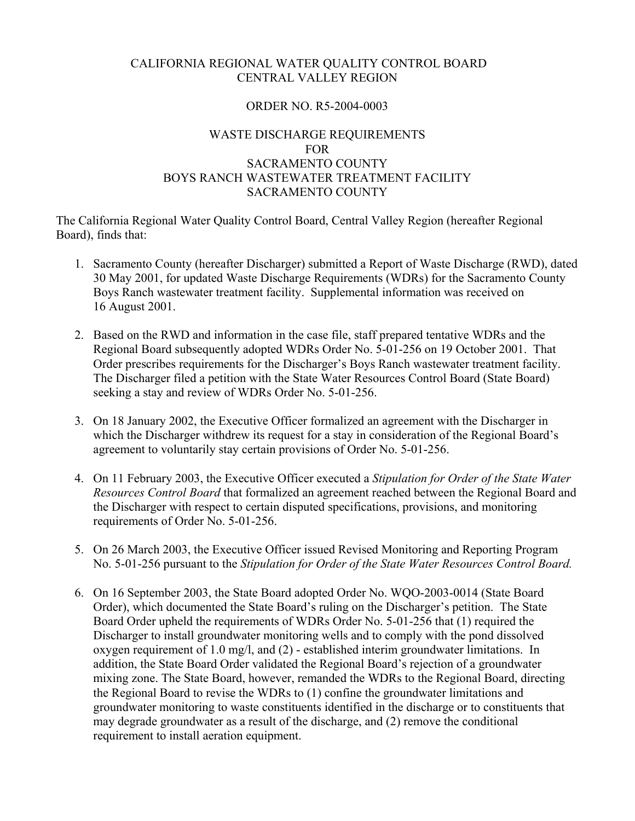# CALIFORNIA REGIONAL WATER QUALITY CONTROL BOARD CENTRAL VALLEY REGION

# ORDER NO. R5-2004-0003

# WASTE DISCHARGE REQUIREMENTS FOR SACRAMENTO COUNTY BOYS RANCH WASTEWATER TREATMENT FACILITY SACRAMENTO COUNTY

The California Regional Water Quality Control Board, Central Valley Region (hereafter Regional Board), finds that:

- 1. Sacramento County (hereafter Discharger) submitted a Report of Waste Discharge (RWD), dated 30 May 2001, for updated Waste Discharge Requirements (WDRs) for the Sacramento County Boys Ranch wastewater treatment facility. Supplemental information was received on 16 August 2001.
- 2. Based on the RWD and information in the case file, staff prepared tentative WDRs and the Regional Board subsequently adopted WDRs Order No. 5-01-256 on 19 October 2001. That Order prescribes requirements for the Discharger's Boys Ranch wastewater treatment facility. The Discharger filed a petition with the State Water Resources Control Board (State Board) seeking a stay and review of WDRs Order No. 5-01-256.
- 3. On 18 January 2002, the Executive Officer formalized an agreement with the Discharger in which the Discharger withdrew its request for a stay in consideration of the Regional Board's agreement to voluntarily stay certain provisions of Order No. 5-01-256.
- 4. On 11 February 2003, the Executive Officer executed a *Stipulation for Order of the State Water Resources Control Board* that formalized an agreement reached between the Regional Board and the Discharger with respect to certain disputed specifications, provisions, and monitoring requirements of Order No. 5-01-256.
- 5. On 26 March 2003, the Executive Officer issued Revised Monitoring and Reporting Program No. 5-01-256 pursuant to the *Stipulation for Order of the State Water Resources Control Board.*
- 6. On 16 September 2003, the State Board adopted Order No. WQO-2003-0014 (State Board Order), which documented the State Board's ruling on the Discharger's petition. The State Board Order upheld the requirements of WDRs Order No. 5-01-256 that (1) required the Discharger to install groundwater monitoring wells and to comply with the pond dissolved oxygen requirement of 1.0 mg/l, and (2) - established interim groundwater limitations. In addition, the State Board Order validated the Regional Board's rejection of a groundwater mixing zone. The State Board, however, remanded the WDRs to the Regional Board, directing the Regional Board to revise the WDRs to (1) confine the groundwater limitations and groundwater monitoring to waste constituents identified in the discharge or to constituents that may degrade groundwater as a result of the discharge, and (2) remove the conditional requirement to install aeration equipment.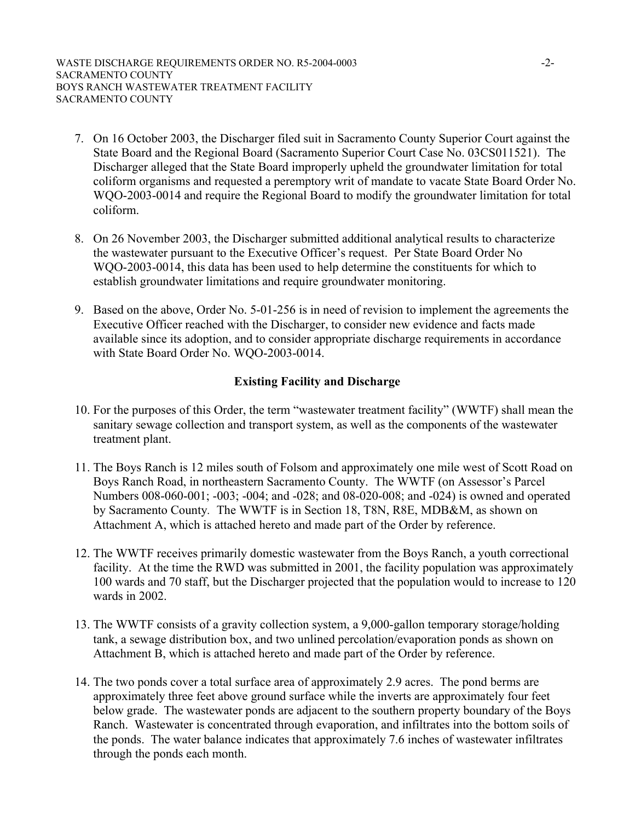- 7. On 16 October 2003, the Discharger filed suit in Sacramento County Superior Court against the State Board and the Regional Board (Sacramento Superior Court Case No. 03CS011521). The Discharger alleged that the State Board improperly upheld the groundwater limitation for total coliform organisms and requested a peremptory writ of mandate to vacate State Board Order No. WQO-2003-0014 and require the Regional Board to modify the groundwater limitation for total coliform.
- 8. On 26 November 2003, the Discharger submitted additional analytical results to characterize the wastewater pursuant to the Executive Officer's request. Per State Board Order No WQO-2003-0014, this data has been used to help determine the constituents for which to establish groundwater limitations and require groundwater monitoring.
- 9. Based on the above, Order No. 5-01-256 is in need of revision to implement the agreements the Executive Officer reached with the Discharger, to consider new evidence and facts made available since its adoption, and to consider appropriate discharge requirements in accordance with State Board Order No. WQO-2003-0014.

# **Existing Facility and Discharge**

- 10. For the purposes of this Order, the term "wastewater treatment facility" (WWTF) shall mean the sanitary sewage collection and transport system, as well as the components of the wastewater treatment plant.
- 11. The Boys Ranch is 12 miles south of Folsom and approximately one mile west of Scott Road on Boys Ranch Road, in northeastern Sacramento County. The WWTF (on Assessor's Parcel Numbers 008-060-001; -003; -004; and -028; and 08-020-008; and -024) is owned and operated by Sacramento County*.* The WWTF is in Section 18, T8N, R8E, MDB&M, as shown on Attachment A, which is attached hereto and made part of the Order by reference.
- 12. The WWTF receives primarily domestic wastewater from the Boys Ranch, a youth correctional facility. At the time the RWD was submitted in 2001, the facility population was approximately 100 wards and 70 staff, but the Discharger projected that the population would to increase to 120 wards in 2002.
- 13. The WWTF consists of a gravity collection system, a 9,000-gallon temporary storage/holding tank, a sewage distribution box, and two unlined percolation/evaporation ponds as shown on Attachment B, which is attached hereto and made part of the Order by reference.
- 14. The two ponds cover a total surface area of approximately 2.9 acres. The pond berms are approximately three feet above ground surface while the inverts are approximately four feet below grade. The wastewater ponds are adjacent to the southern property boundary of the Boys Ranch. Wastewater is concentrated through evaporation, and infiltrates into the bottom soils of the ponds. The water balance indicates that approximately 7.6 inches of wastewater infiltrates through the ponds each month.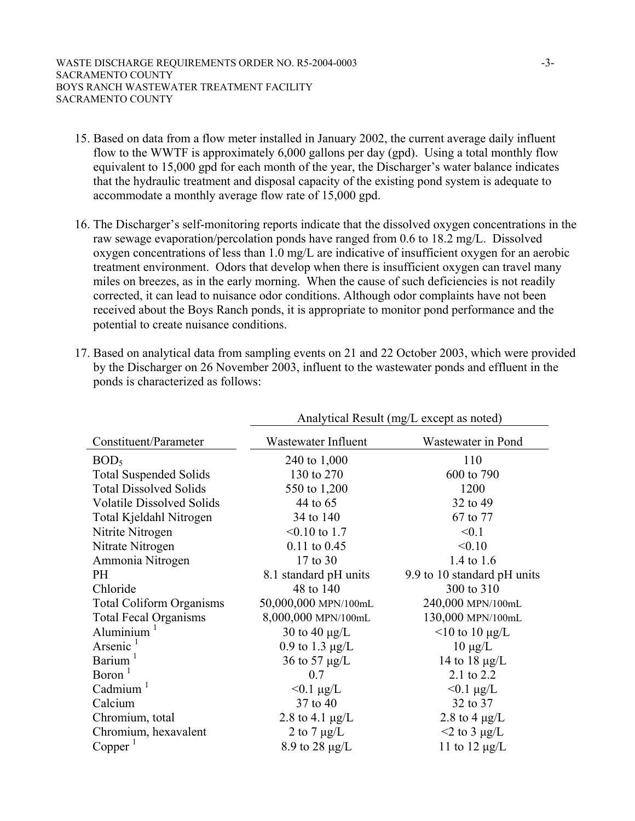- 15. Based on data from a flow meter installed in January 2002, the current average daily influent flow to the WWTF is approximately 6,000 gallons per day (gpd). Using a total monthly flow equivalent to 15,000 gpd for each month of the year, the Discharger's water balance indicates that the hydraulic treatment and disposal capacity of the existing pond system is adequate to accommodate a monthly average flow rate of 15,000 gpd.
- 16. The Discharger's self-monitoring reports indicate that the dissolved oxygen concentrations in the raw sewage evaporation/percolation ponds have ranged from 0.6 to 18.2 mg/L. Dissolved oxygen concentrations of less than 1.0 mg/L are indicative of insufficient oxygen for an aerobic treatment environment. Odors that develop when there is insufficient oxygen can travel many miles on breezes, as in the early morning. When the cause of such deficiencies is not readily corrected, it can lead to nuisance odor conditions. Although odor complaints have not been received about the Boys Ranch ponds, it is appropriate to monitor pond performance and the potential to create nuisance conditions.
- 17. Based on analytical data from sampling events on 21 and 22 October 2003, which were provided by the Discharger on 26 November 2003, influent to the wastewater ponds and effluent in the ponds is characterized as follows:

|                                  | Analytical Result (mg/L except as noted) |                             |  |  |  |
|----------------------------------|------------------------------------------|-----------------------------|--|--|--|
| Constituent/Parameter            | Wastewater Influent                      | Wastewater in Pond          |  |  |  |
| BOD <sub>5</sub>                 | 240 to 1,000                             | 110                         |  |  |  |
| <b>Total Suspended Solids</b>    | 130 to 270                               | 600 to 790                  |  |  |  |
| <b>Total Dissolved Solids</b>    | 550 to 1,200                             | 1200                        |  |  |  |
| <b>Volatile Dissolved Solids</b> | 44 to 65                                 | 32 to 49                    |  |  |  |
| Total Kjeldahl Nitrogen          | 34 to 140                                | 67 to 77                    |  |  |  |
| Nitrite Nitrogen                 | $< 0.10$ to 1.7                          | < 0.1                       |  |  |  |
| Nitrate Nitrogen                 | $0.11$ to $0.45$                         | < 0.10                      |  |  |  |
| Ammonia Nitrogen                 | 17 to 30                                 | 1.4 to 1.6                  |  |  |  |
| PH                               | 8.1 standard pH units                    | 9.9 to 10 standard pH units |  |  |  |
| Chloride                         | 48 to 140                                | 300 to 310                  |  |  |  |
| <b>Total Coliform Organisms</b>  | 50,000,000 MPN/100mL                     | 240,000 MPN/100mL           |  |  |  |
| <b>Total Fecal Organisms</b>     | 8,000,000 MPN/100mL                      | 130,000 MPN/100mL           |  |  |  |
| Aluminium                        | 30 to 40 $\mu$ g/L                       | $\leq$ 10 to 10 µg/L        |  |  |  |
| Arsenic <sup>1</sup>             | 0.9 to 1.3 $\mu$ g/L                     | $10 \mu g/L$                |  |  |  |
| Barium <sup>1</sup>              | 36 to 57 $\mu$ g/L                       | 14 to 18 $\mu$ g/L          |  |  |  |
| Boron <sup>1</sup>               | 0.7                                      | 2.1 to 2.2                  |  |  |  |
| Cadmium $1$                      | $< 0.1 \mu g/L$                          | $< 0.1 \mu g/L$             |  |  |  |
| Calcium                          | 37 to 40                                 | 32 to 37                    |  |  |  |
| Chromium, total                  | 2.8 to 4.1 $\mu$ g/L                     | 2.8 to 4 $\mu$ g/L          |  |  |  |
| Chromium, hexavalent             | 2 to 7 $\mu$ g/L                         | $\leq$ 2 to 3 µg/L          |  |  |  |
| Copper <sup>1</sup>              | 8.9 to 28 $\mu$ g/L                      | 11 to 12 $\mu$ g/L          |  |  |  |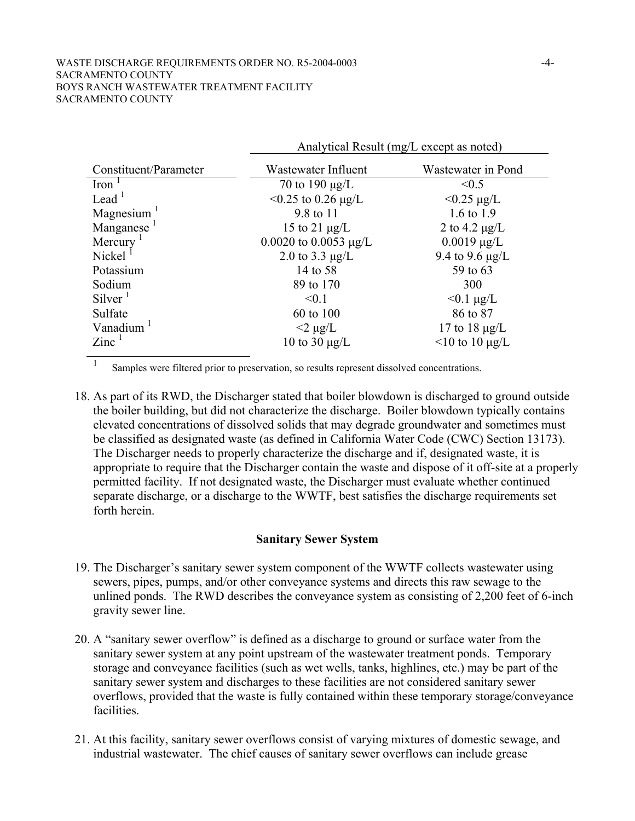|                        | Analytical Result (mg/L except as noted) |                      |  |  |  |
|------------------------|------------------------------------------|----------------------|--|--|--|
| Constituent/Parameter  | Wastewater Influent                      | Wastewater in Pond   |  |  |  |
| $\text{Iron}^{-1}$     | 70 to 190 $\mu$ g/L                      | < 0.5                |  |  |  |
| Lead $1$               | $<$ 0.25 to 0.26 µg/L                    | $< 0.25 \mu g/L$     |  |  |  |
| Magnesium $1$          | 9.8 to 11                                | 1.6 to 1.9           |  |  |  |
| Manganese <sup>1</sup> | 15 to 21 $\mu$ g/L                       | 2 to 4.2 $\mu$ g/L   |  |  |  |
| Mercury                | 0.0020 to 0.0053 $\mu$ g/L               | $0.0019 \mu g/L$     |  |  |  |
| Nickel                 | 2.0 to 3.3 $\mu$ g/L                     | 9.4 to 9.6 $\mu$ g/L |  |  |  |
| Potassium              | 14 to 58                                 | 59 to 63             |  |  |  |
| Sodium                 | 89 to 170                                | 300                  |  |  |  |
| $Silver^1$             | < 0.1                                    | $< 0.1 \mu g/L$      |  |  |  |
| Sulfate                | 60 to 100                                | 86 to 87             |  |  |  |
| Vanadium               | $<$ 2 µg/L                               | 17 to 18 $\mu$ g/L   |  |  |  |
| $\rm Zinc^{-1}$        | 10 to 30 $\mu$ g/L                       | $\leq$ 10 to 10 µg/L |  |  |  |

<sup>1</sup> Samples were filtered prior to preservation, so results represent dissolved concentrations.

18. As part of its RWD, the Discharger stated that boiler blowdown is discharged to ground outside the boiler building, but did not characterize the discharge. Boiler blowdown typically contains elevated concentrations of dissolved solids that may degrade groundwater and sometimes must be classified as designated waste (as defined in California Water Code (CWC) Section 13173). The Discharger needs to properly characterize the discharge and if, designated waste, it is appropriate to require that the Discharger contain the waste and dispose of it off-site at a properly permitted facility. If not designated waste, the Discharger must evaluate whether continued separate discharge, or a discharge to the WWTF, best satisfies the discharge requirements set forth herein.

#### **Sanitary Sewer System**

- 19. The Discharger's sanitary sewer system component of the WWTF collects wastewater using sewers, pipes, pumps, and/or other conveyance systems and directs this raw sewage to the unlined ponds. The RWD describes the conveyance system as consisting of 2,200 feet of 6-inch gravity sewer line.
- 20. A "sanitary sewer overflow" is defined as a discharge to ground or surface water from the sanitary sewer system at any point upstream of the wastewater treatment ponds. Temporary storage and conveyance facilities (such as wet wells, tanks, highlines, etc.) may be part of the sanitary sewer system and discharges to these facilities are not considered sanitary sewer overflows, provided that the waste is fully contained within these temporary storage/conveyance facilities.
- 21. At this facility, sanitary sewer overflows consist of varying mixtures of domestic sewage, and industrial wastewater. The chief causes of sanitary sewer overflows can include grease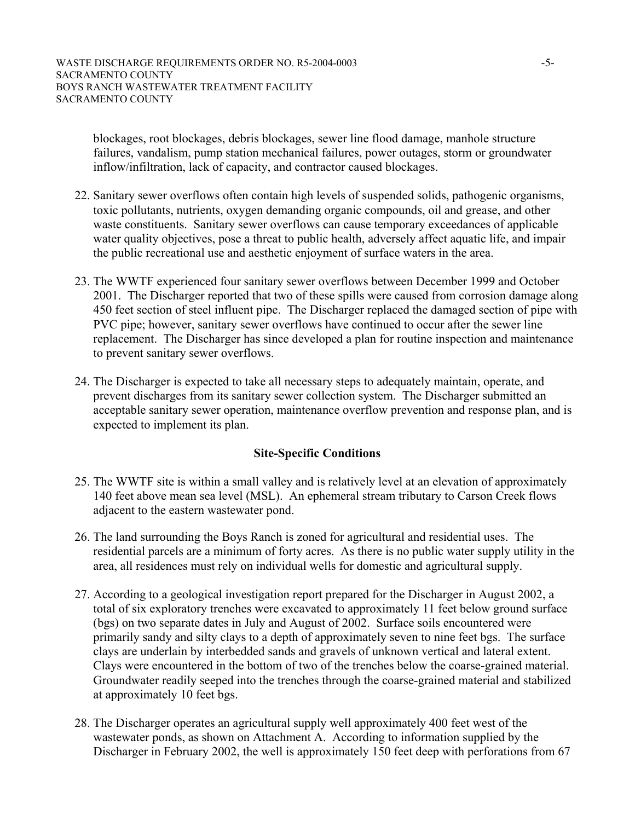blockages, root blockages, debris blockages, sewer line flood damage, manhole structure failures, vandalism, pump station mechanical failures, power outages, storm or groundwater inflow/infiltration, lack of capacity, and contractor caused blockages.

- 22. Sanitary sewer overflows often contain high levels of suspended solids, pathogenic organisms, toxic pollutants, nutrients, oxygen demanding organic compounds, oil and grease, and other waste constituents. Sanitary sewer overflows can cause temporary exceedances of applicable water quality objectives, pose a threat to public health, adversely affect aquatic life, and impair the public recreational use and aesthetic enjoyment of surface waters in the area.
- 23. The WWTF experienced four sanitary sewer overflows between December 1999 and October 2001. The Discharger reported that two of these spills were caused from corrosion damage along 450 feet section of steel influent pipe. The Discharger replaced the damaged section of pipe with PVC pipe; however, sanitary sewer overflows have continued to occur after the sewer line replacement. The Discharger has since developed a plan for routine inspection and maintenance to prevent sanitary sewer overflows.
- 24. The Discharger is expected to take all necessary steps to adequately maintain, operate, and prevent discharges from its sanitary sewer collection system. The Discharger submitted an acceptable sanitary sewer operation, maintenance overflow prevention and response plan, and is expected to implement its plan.

## **Site-Specific Conditions**

- 25. The WWTF site is within a small valley and is relatively level at an elevation of approximately 140 feet above mean sea level (MSL). An ephemeral stream tributary to Carson Creek flows adjacent to the eastern wastewater pond.
- 26. The land surrounding the Boys Ranch is zoned for agricultural and residential uses. The residential parcels are a minimum of forty acres. As there is no public water supply utility in the area, all residences must rely on individual wells for domestic and agricultural supply.
- 27. According to a geological investigation report prepared for the Discharger in August 2002, a total of six exploratory trenches were excavated to approximately 11 feet below ground surface (bgs) on two separate dates in July and August of 2002. Surface soils encountered were primarily sandy and silty clays to a depth of approximately seven to nine feet bgs. The surface clays are underlain by interbedded sands and gravels of unknown vertical and lateral extent. Clays were encountered in the bottom of two of the trenches below the coarse-grained material. Groundwater readily seeped into the trenches through the coarse-grained material and stabilized at approximately 10 feet bgs.
- 28. The Discharger operates an agricultural supply well approximately 400 feet west of the wastewater ponds, as shown on Attachment A. According to information supplied by the Discharger in February 2002, the well is approximately 150 feet deep with perforations from 67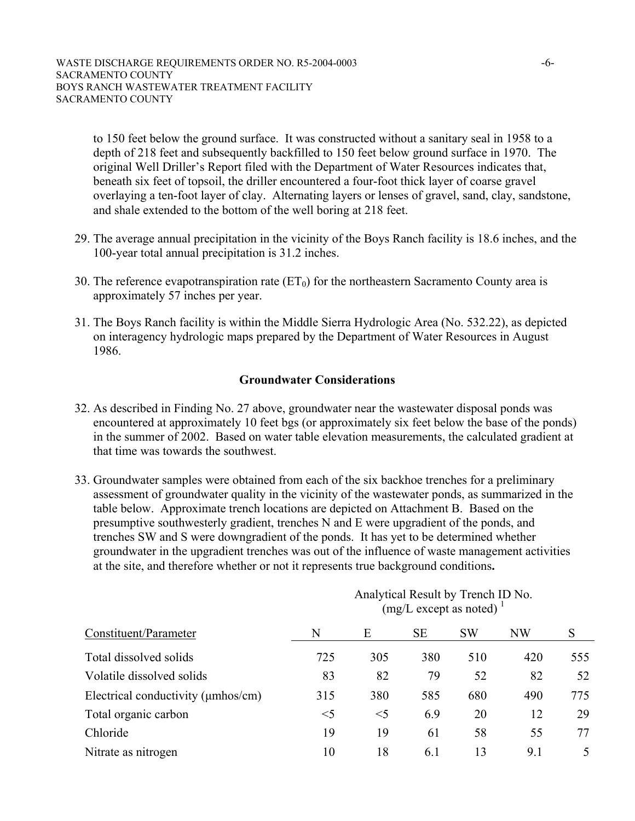to 150 feet below the ground surface. It was constructed without a sanitary seal in 1958 to a depth of 218 feet and subsequently backfilled to 150 feet below ground surface in 1970. The original Well Driller's Report filed with the Department of Water Resources indicates that, beneath six feet of topsoil, the driller encountered a four-foot thick layer of coarse gravel overlaying a ten-foot layer of clay. Alternating layers or lenses of gravel, sand, clay, sandstone, and shale extended to the bottom of the well boring at 218 feet.

- 29. The average annual precipitation in the vicinity of the Boys Ranch facility is 18.6 inches, and the 100-year total annual precipitation is 31.2 inches.
- 30. The reference evapotranspiration rate  $(ET_0)$  for the northeastern Sacramento County area is approximately 57 inches per year.
- 31. The Boys Ranch facility is within the Middle Sierra Hydrologic Area (No. 532.22), as depicted on interagency hydrologic maps prepared by the Department of Water Resources in August 1986.

## **Groundwater Considerations**

- 32. As described in Finding No. 27 above, groundwater near the wastewater disposal ponds was encountered at approximately 10 feet bgs (or approximately six feet below the base of the ponds) in the summer of 2002. Based on water table elevation measurements, the calculated gradient at that time was towards the southwest.
- 33. Groundwater samples were obtained from each of the six backhoe trenches for a preliminary assessment of groundwater quality in the vicinity of the wastewater ponds, as summarized in the table below. Approximate trench locations are depicted on Attachment B. Based on the presumptive southwesterly gradient, trenches N and E were upgradient of the ponds, and trenches SW and S were downgradient of the ponds. It has yet to be determined whether groundwater in the upgradient trenches was out of the influence of waste management activities at the site, and therefore whether or not it represents true background conditions**.**

| Constituent/Parameter              | Analytical Result by Trench ID NO.<br>$(mg/L$ except as noted) $\frac{1}{2}$ |       |           |           |           |     |
|------------------------------------|------------------------------------------------------------------------------|-------|-----------|-----------|-----------|-----|
|                                    | N                                                                            | Ε     | <b>SE</b> | <b>SW</b> | <b>NW</b> | S   |
| Total dissolved solids             | 725                                                                          | 305   | 380       | 510       | 420       | 555 |
| Volatile dissolved solids          | 83                                                                           | 82    | 79        | 52        | 82        | 52  |
| Electrical conductivity (µmhos/cm) | 315                                                                          | 380   | 585       | 680       | 490       | 775 |
| Total organic carbon               | $<$ 5                                                                        | $<$ 5 | 6.9       | 20        | 12        | 29  |
| Chloride                           | 19                                                                           | 19    | 61        | 58        | 55        | 77  |
| Nitrate as nitrogen                | 10                                                                           | 18    | 6.1       | 13        | 9.1       | 5   |

# $A = 1$  at  $1D = 1$  and  $T = 1$   $TDM$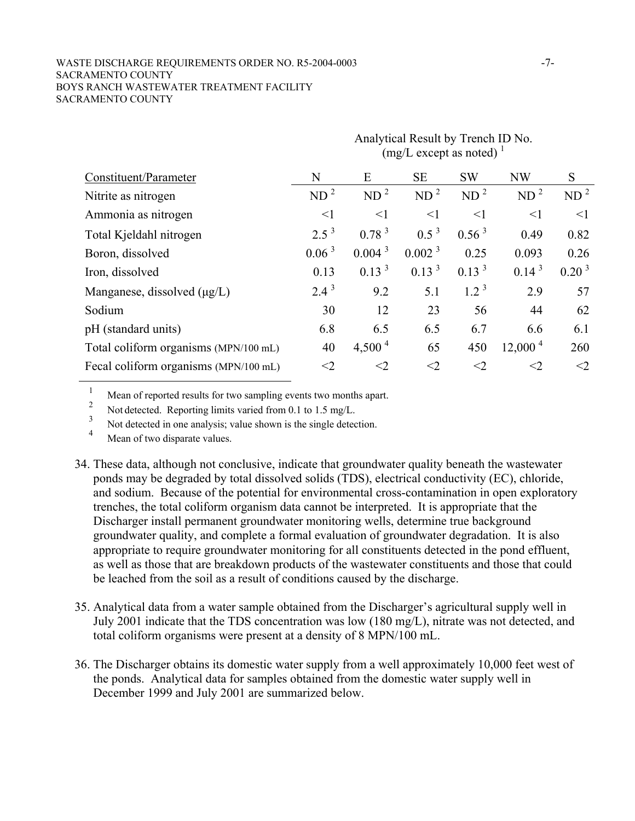#### WASTE DISCHARGE REQUIREMENTS ORDER NO. R5-2004-0003 -7-SACRAMENTO COUNTY BOYS RANCH WASTEWATER TREATMENT FACILITY SACRAMENTO COUNTY

|                                       | Analytical Result by Trench ID NO.<br>$(mg/L$ except as noted) $\frac{1}{2}$ |                    |                    |                 |                 |                 |
|---------------------------------------|------------------------------------------------------------------------------|--------------------|--------------------|-----------------|-----------------|-----------------|
| Constituent/Parameter                 | N                                                                            | E                  | <b>SE</b>          | <b>SW</b>       | <b>NW</b>       | S               |
| Nitrite as nitrogen                   | ND <sup>2</sup>                                                              | ND <sup>2</sup>    | ND <sup>2</sup>    | ND <sup>2</sup> | ND <sup>2</sup> | ND <sup>2</sup> |
| Ammonia as nitrogen                   | $\leq$ 1                                                                     | $\leq$ 1           | $\leq$ 1           | $\leq$ 1        | $\leq$ 1        | $\leq$ 1        |
| Total Kjeldahl nitrogen               | $2.5^3$                                                                      | 0.78 <sup>3</sup>  | $0.5^3$            | $0.56^{3}$      | 0.49            | 0.82            |
| Boron, dissolved                      | 0.06 <sup>3</sup>                                                            | 0.004 <sup>3</sup> | 0.002 <sup>3</sup> | 0.25            | 0.093           | 0.26            |
| Iron, dissolved                       | 0.13                                                                         | 0.13 <sup>3</sup>  | $0.13^{3}$         | $0.13^{3}$      | $0.14^{3}$      | $0.20^{3}$      |
| Manganese, dissolved $(\mu g/L)$      | $2.4^3$                                                                      | 9.2                | 5.1                | $1.2^3$         | 2.9             | 57              |
| Sodium                                | 30                                                                           | 12                 | 23                 | 56              | 44              | 62              |
| pH (standard units)                   | 6.8                                                                          | 6.5                | 6.5                | 6.7             | 6.6             | 6.1             |
| Total coliform organisms (MPN/100 mL) | 40                                                                           | $4,500^4$          | 65                 | 450             | $12,000^4$      | 260             |
| Fecal coliform organisms (MPN/100 mL) | $<$ 2                                                                        | $\leq$ 2           | $<$ 2              | $<$ 2           | $<$ 2           | $<$ 2           |

<sup>1</sup> Mean of reported results for two sampling events two months apart.

<sup>2</sup> Not detected. Reporting limits varied from 0.1 to 1.5 mg/L.<br><sup>3</sup> Not detected in one analysis; value shown is the single detection.

Mean of two disparate values.

- 34. These data, although not conclusive, indicate that groundwater quality beneath the wastewater ponds may be degraded by total dissolved solids (TDS), electrical conductivity (EC), chloride, and sodium. Because of the potential for environmental cross-contamination in open exploratory trenches, the total coliform organism data cannot be interpreted. It is appropriate that the Discharger install permanent groundwater monitoring wells, determine true background groundwater quality, and complete a formal evaluation of groundwater degradation. It is also appropriate to require groundwater monitoring for all constituents detected in the pond effluent, as well as those that are breakdown products of the wastewater constituents and those that could be leached from the soil as a result of conditions caused by the discharge.
- 35. Analytical data from a water sample obtained from the Discharger's agricultural supply well in July 2001 indicate that the TDS concentration was low (180 mg/L), nitrate was not detected, and total coliform organisms were present at a density of 8 MPN/100 mL.
- 36. The Discharger obtains its domestic water supply from a well approximately 10,000 feet west of the ponds. Analytical data for samples obtained from the domestic water supply well in December 1999 and July 2001 are summarized below.

 $A = 1$  at  $1D = 1$  and  $1D = 1$  in Trench I.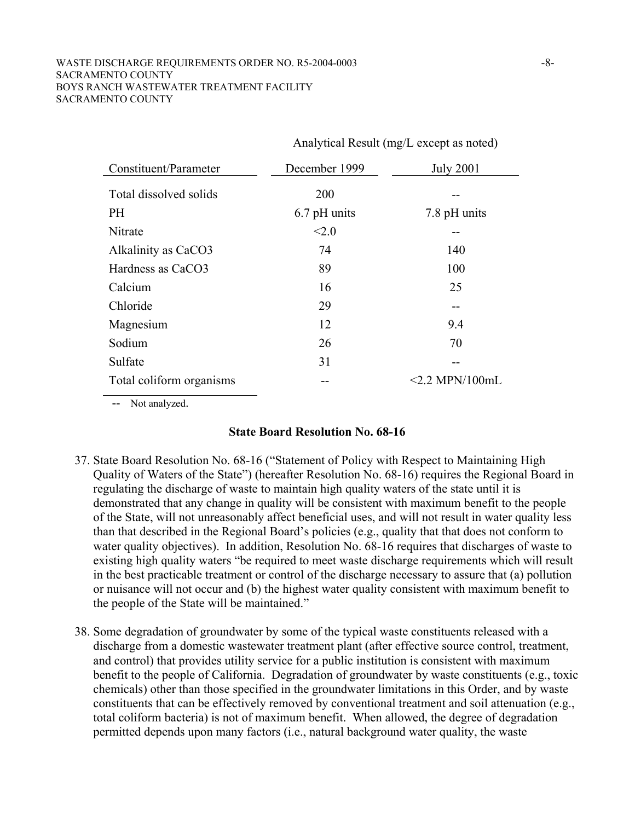#### WASTE DISCHARGE REQUIREMENTS ORDER NO. R5-2004-0003 -8-8-SACRAMENTO COUNTY BOYS RANCH WASTEWATER TREATMENT FACILITY SACRAMENTO COUNTY

| Constituent/Parameter    | December 1999 | <b>July 2001</b>     |
|--------------------------|---------------|----------------------|
| Total dissolved solids   | 200           |                      |
| <b>PH</b>                | 6.7 pH units  | 7.8 pH units         |
| Nitrate                  | < 2.0         |                      |
| Alkalinity as CaCO3      | 74            | 140                  |
| Hardness as CaCO3        | 89            | 100                  |
| Calcium                  | 16            | 25                   |
| Chloride                 | 29            |                      |
| Magnesium                | 12            | 9.4                  |
| Sodium                   | 26            | 70                   |
| Sulfate                  | 31            |                      |
| Total coliform organisms |               | $\leq$ 2.2 MPN/100mL |

Analytical Result (mg/L except as noted)

-- Not analyzed.

#### **State Board Resolution No. 68-16**

- 37. State Board Resolution No. 68-16 ("Statement of Policy with Respect to Maintaining High Quality of Waters of the State") (hereafter Resolution No. 68-16) requires the Regional Board in regulating the discharge of waste to maintain high quality waters of the state until it is demonstrated that any change in quality will be consistent with maximum benefit to the people of the State, will not unreasonably affect beneficial uses, and will not result in water quality less than that described in the Regional Board's policies (e.g., quality that that does not conform to water quality objectives). In addition, Resolution No. 68-16 requires that discharges of waste to existing high quality waters "be required to meet waste discharge requirements which will result in the best practicable treatment or control of the discharge necessary to assure that (a) pollution or nuisance will not occur and (b) the highest water quality consistent with maximum benefit to the people of the State will be maintained."
- 38. Some degradation of groundwater by some of the typical waste constituents released with a discharge from a domestic wastewater treatment plant (after effective source control, treatment, and control) that provides utility service for a public institution is consistent with maximum benefit to the people of California. Degradation of groundwater by waste constituents (e.g., toxic chemicals) other than those specified in the groundwater limitations in this Order, and by waste constituents that can be effectively removed by conventional treatment and soil attenuation (e.g., total coliform bacteria) is not of maximum benefit. When allowed, the degree of degradation permitted depends upon many factors (i.e., natural background water quality, the waste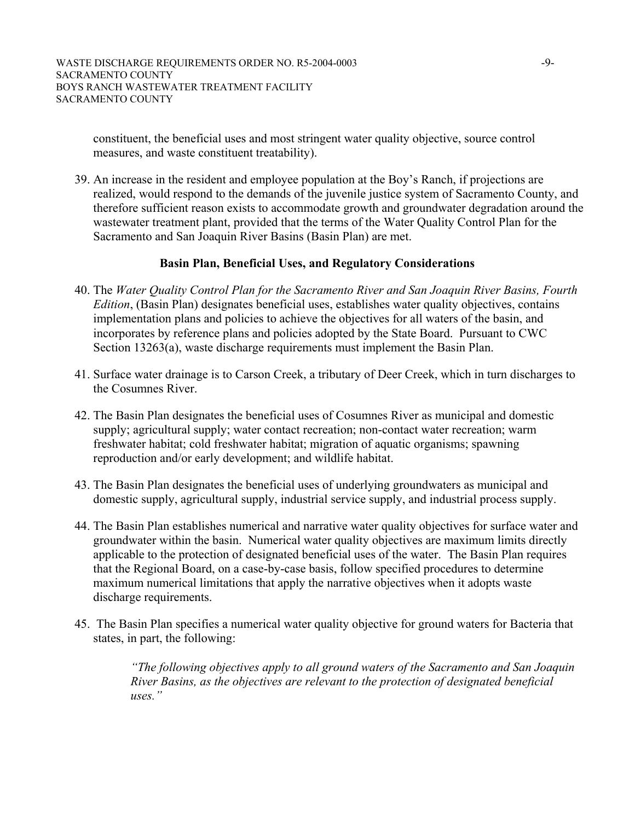constituent, the beneficial uses and most stringent water quality objective, source control measures, and waste constituent treatability).

39. An increase in the resident and employee population at the Boy's Ranch, if projections are realized, would respond to the demands of the juvenile justice system of Sacramento County, and therefore sufficient reason exists to accommodate growth and groundwater degradation around the wastewater treatment plant, provided that the terms of the Water Quality Control Plan for the Sacramento and San Joaquin River Basins (Basin Plan) are met.

## **Basin Plan, Beneficial Uses, and Regulatory Considerations**

- 40. The *Water Quality Control Plan for the Sacramento River and San Joaquin River Basins, Fourth Edition*, (Basin Plan) designates beneficial uses, establishes water quality objectives, contains implementation plans and policies to achieve the objectives for all waters of the basin, and incorporates by reference plans and policies adopted by the State Board. Pursuant to CWC Section 13263(a), waste discharge requirements must implement the Basin Plan.
- 41. Surface water drainage is to Carson Creek, a tributary of Deer Creek, which in turn discharges to the Cosumnes River.
- 42. The Basin Plan designates the beneficial uses of Cosumnes River as municipal and domestic supply; agricultural supply; water contact recreation; non-contact water recreation; warm freshwater habitat; cold freshwater habitat; migration of aquatic organisms; spawning reproduction and/or early development; and wildlife habitat.
- 43. The Basin Plan designates the beneficial uses of underlying groundwaters as municipal and domestic supply, agricultural supply, industrial service supply, and industrial process supply.
- 44. The Basin Plan establishes numerical and narrative water quality objectives for surface water and groundwater within the basin. Numerical water quality objectives are maximum limits directly applicable to the protection of designated beneficial uses of the water. The Basin Plan requires that the Regional Board, on a case-by-case basis, follow specified procedures to determine maximum numerical limitations that apply the narrative objectives when it adopts waste discharge requirements.
- 45. The Basin Plan specifies a numerical water quality objective for ground waters for Bacteria that states, in part, the following:

*"The following objectives apply to all ground waters of the Sacramento and San Joaquin River Basins, as the objectives are relevant to the protection of designated beneficial uses."*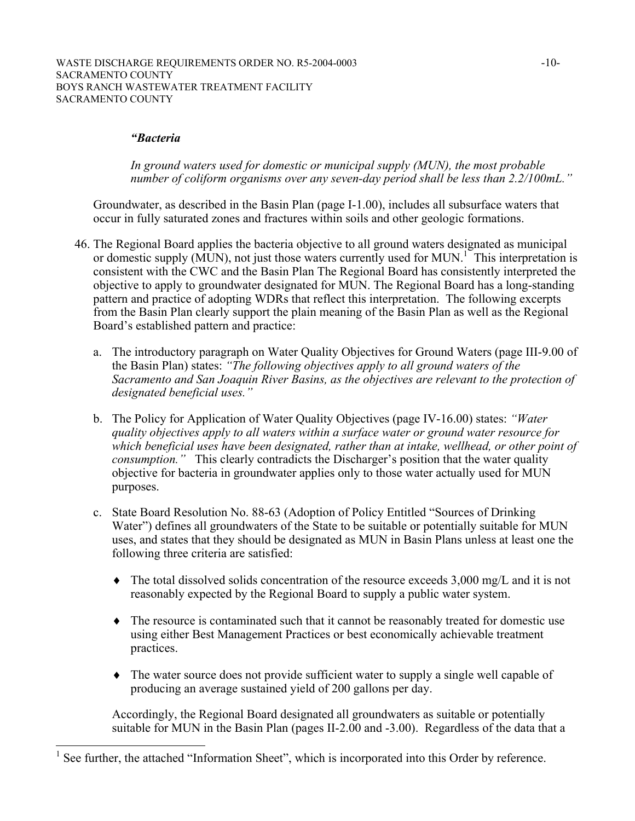#### *"Bacteria*

 $\overline{a}$ 

*In ground waters used for domestic or municipal supply (MUN), the most probable number of coliform organisms over any seven-day period shall be less than 2.2/100mL."* 

Groundwater, as described in the Basin Plan (page I-1.00), includes all subsurface waters that occur in fully saturated zones and fractures within soils and other geologic formations.

- 46. The Regional Board applies the bacteria objective to all ground waters designated as municipal or domestic supply (MUN), not just those waters currently used for MUN.<sup>1</sup> This interpretation is consistent with the CWC and the Basin Plan The Regional Board has consistently interpreted the objective to apply to groundwater designated for MUN. The Regional Board has a long-standing pattern and practice of adopting WDRs that reflect this interpretation. The following excerpts from the Basin Plan clearly support the plain meaning of the Basin Plan as well as the Regional Board's established pattern and practice:
	- a. The introductory paragraph on Water Quality Objectives for Ground Waters (page III-9.00 of the Basin Plan) states: *"The following objectives apply to all ground waters of the Sacramento and San Joaquin River Basins, as the objectives are relevant to the protection of designated beneficial uses."*
	- b. The Policy for Application of Water Quality Objectives (page IV-16.00) states: *"Water quality objectives apply to all waters within a surface water or ground water resource for which beneficial uses have been designated, rather than at intake, wellhead, or other point of consumption."* This clearly contradicts the Discharger's position that the water quality objective for bacteria in groundwater applies only to those water actually used for MUN purposes.
	- c. State Board Resolution No. 88-63 (Adoption of Policy Entitled "Sources of Drinking Water") defines all groundwaters of the State to be suitable or potentially suitable for MUN uses, and states that they should be designated as MUN in Basin Plans unless at least one the following three criteria are satisfied:
		- ♦ The total dissolved solids concentration of the resource exceeds 3,000 mg/L and it is not reasonably expected by the Regional Board to supply a public water system.
		- ♦ The resource is contaminated such that it cannot be reasonably treated for domestic use using either Best Management Practices or best economically achievable treatment practices.
		- ♦ The water source does not provide sufficient water to supply a single well capable of producing an average sustained yield of 200 gallons per day.

Accordingly, the Regional Board designated all groundwaters as suitable or potentially suitable for MUN in the Basin Plan (pages II-2.00 and -3.00). Regardless of the data that a

<sup>1</sup> See further, the attached "Information Sheet", which is incorporated into this Order by reference.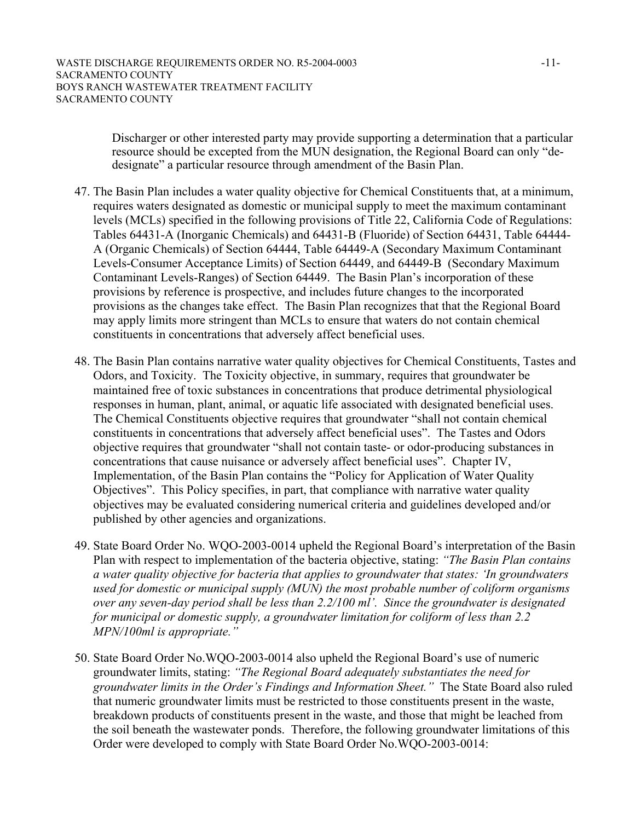Discharger or other interested party may provide supporting a determination that a particular resource should be excepted from the MUN designation, the Regional Board can only "dedesignate" a particular resource through amendment of the Basin Plan.

- 47. The Basin Plan includes a water quality objective for Chemical Constituents that, at a minimum, requires waters designated as domestic or municipal supply to meet the maximum contaminant levels (MCLs) specified in the following provisions of Title 22, California Code of Regulations: Tables 64431-A (Inorganic Chemicals) and 64431-B (Fluoride) of Section 64431, Table 64444- A (Organic Chemicals) of Section 64444, Table 64449-A (Secondary Maximum Contaminant Levels-Consumer Acceptance Limits) of Section 64449, and 64449-B (Secondary Maximum Contaminant Levels-Ranges) of Section 64449. The Basin Plan's incorporation of these provisions by reference is prospective, and includes future changes to the incorporated provisions as the changes take effect. The Basin Plan recognizes that that the Regional Board may apply limits more stringent than MCLs to ensure that waters do not contain chemical constituents in concentrations that adversely affect beneficial uses.
- 48. The Basin Plan contains narrative water quality objectives for Chemical Constituents, Tastes and Odors, and Toxicity. The Toxicity objective, in summary, requires that groundwater be maintained free of toxic substances in concentrations that produce detrimental physiological responses in human, plant, animal, or aquatic life associated with designated beneficial uses. The Chemical Constituents objective requires that groundwater "shall not contain chemical constituents in concentrations that adversely affect beneficial uses". The Tastes and Odors objective requires that groundwater "shall not contain taste- or odor-producing substances in concentrations that cause nuisance or adversely affect beneficial uses". Chapter IV, Implementation, of the Basin Plan contains the "Policy for Application of Water Quality Objectives". This Policy specifies, in part, that compliance with narrative water quality objectives may be evaluated considering numerical criteria and guidelines developed and/or published by other agencies and organizations.
- 49. State Board Order No. WQO-2003-0014 upheld the Regional Board's interpretation of the Basin Plan with respect to implementation of the bacteria objective, stating: *"The Basin Plan contains a water quality objective for bacteria that applies to groundwater that states: 'In groundwaters used for domestic or municipal supply (MUN) the most probable number of coliform organisms over any seven-day period shall be less than 2.2/100 ml'. Since the groundwater is designated for municipal or domestic supply, a groundwater limitation for coliform of less than 2.2 MPN/100ml is appropriate."*
- 50. State Board Order No.WQO-2003-0014 also upheld the Regional Board's use of numeric groundwater limits, stating: *"The Regional Board adequately substantiates the need for groundwater limits in the Order's Findings and Information Sheet."* The State Board also ruled that numeric groundwater limits must be restricted to those constituents present in the waste, breakdown products of constituents present in the waste, and those that might be leached from the soil beneath the wastewater ponds. Therefore, the following groundwater limitations of this Order were developed to comply with State Board Order No.WQO-2003-0014: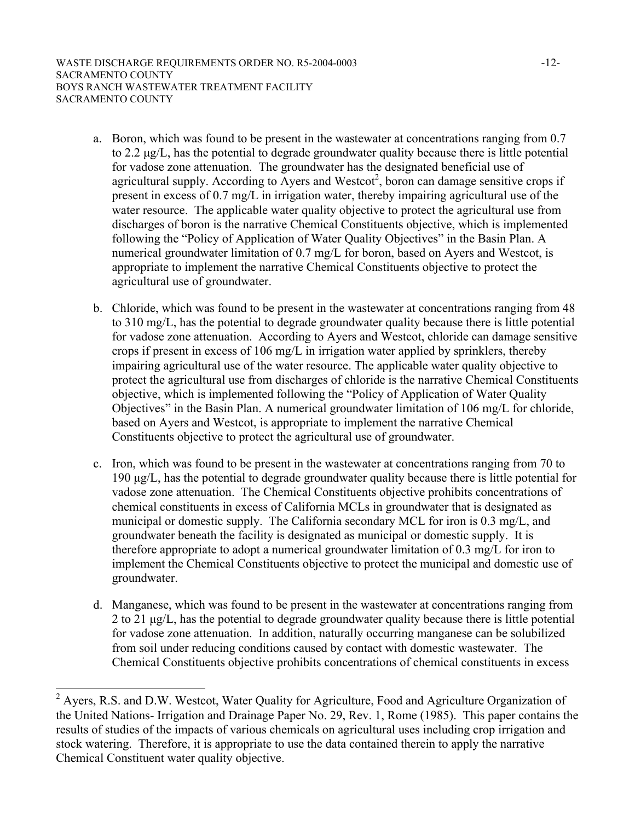- a. Boron, which was found to be present in the wastewater at concentrations ranging from 0.7 to 2.2 µg/L, has the potential to degrade groundwater quality because there is little potential for vadose zone attenuation. The groundwater has the designated beneficial use of agricultural supply. According to Ayers and Westcot<sup>2</sup>, boron can damage sensitive crops if present in excess of 0.7 mg/L in irrigation water, thereby impairing agricultural use of the water resource. The applicable water quality objective to protect the agricultural use from discharges of boron is the narrative Chemical Constituents objective, which is implemented following the "Policy of Application of Water Quality Objectives" in the Basin Plan. A numerical groundwater limitation of 0.7 mg/L for boron, based on Ayers and Westcot, is appropriate to implement the narrative Chemical Constituents objective to protect the agricultural use of groundwater.
- b. Chloride, which was found to be present in the wastewater at concentrations ranging from 48 to 310 mg/L, has the potential to degrade groundwater quality because there is little potential for vadose zone attenuation. According to Ayers and Westcot, chloride can damage sensitive crops if present in excess of 106 mg/L in irrigation water applied by sprinklers, thereby impairing agricultural use of the water resource. The applicable water quality objective to protect the agricultural use from discharges of chloride is the narrative Chemical Constituents objective, which is implemented following the "Policy of Application of Water Quality Objectives" in the Basin Plan. A numerical groundwater limitation of 106 mg/L for chloride, based on Ayers and Westcot, is appropriate to implement the narrative Chemical Constituents objective to protect the agricultural use of groundwater.
- c. Iron, which was found to be present in the wastewater at concentrations ranging from 70 to 190 µg/L, has the potential to degrade groundwater quality because there is little potential for vadose zone attenuation. The Chemical Constituents objective prohibits concentrations of chemical constituents in excess of California MCLs in groundwater that is designated as municipal or domestic supply. The California secondary MCL for iron is 0.3 mg/L, and groundwater beneath the facility is designated as municipal or domestic supply. It is therefore appropriate to adopt a numerical groundwater limitation of 0.3 mg/L for iron to implement the Chemical Constituents objective to protect the municipal and domestic use of groundwater.
- d. Manganese, which was found to be present in the wastewater at concentrations ranging from 2 to 21 µg/L, has the potential to degrade groundwater quality because there is little potential for vadose zone attenuation. In addition, naturally occurring manganese can be solubilized from soil under reducing conditions caused by contact with domestic wastewater. The Chemical Constituents objective prohibits concentrations of chemical constituents in excess

<sup>&</sup>lt;sup>2</sup> Ayers, R.S. and D.W. Westcot, Water Quality for Agriculture, Food and Agriculture Organization of the United Nations- Irrigation and Drainage Paper No. 29, Rev. 1, Rome (1985). This paper contains the results of studies of the impacts of various chemicals on agricultural uses including crop irrigation and stock watering. Therefore, it is appropriate to use the data contained therein to apply the narrative Chemical Constituent water quality objective.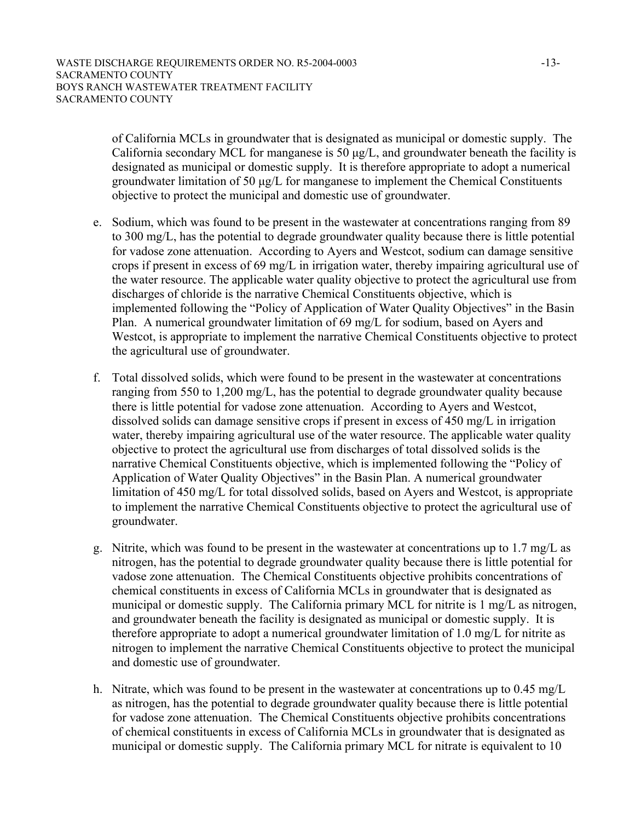of California MCLs in groundwater that is designated as municipal or domestic supply. The California secondary MCL for manganese is 50  $\mu$ g/L, and groundwater beneath the facility is designated as municipal or domestic supply. It is therefore appropriate to adopt a numerical groundwater limitation of 50 µg/L for manganese to implement the Chemical Constituents objective to protect the municipal and domestic use of groundwater.

- e. Sodium, which was found to be present in the wastewater at concentrations ranging from 89 to 300 mg/L, has the potential to degrade groundwater quality because there is little potential for vadose zone attenuation. According to Ayers and Westcot, sodium can damage sensitive crops if present in excess of 69 mg/L in irrigation water, thereby impairing agricultural use of the water resource. The applicable water quality objective to protect the agricultural use from discharges of chloride is the narrative Chemical Constituents objective, which is implemented following the "Policy of Application of Water Quality Objectives" in the Basin Plan. A numerical groundwater limitation of 69 mg/L for sodium, based on Ayers and Westcot, is appropriate to implement the narrative Chemical Constituents objective to protect the agricultural use of groundwater.
- f. Total dissolved solids, which were found to be present in the wastewater at concentrations ranging from 550 to 1,200 mg/L, has the potential to degrade groundwater quality because there is little potential for vadose zone attenuation. According to Ayers and Westcot, dissolved solids can damage sensitive crops if present in excess of 450 mg/L in irrigation water, thereby impairing agricultural use of the water resource. The applicable water quality objective to protect the agricultural use from discharges of total dissolved solids is the narrative Chemical Constituents objective, which is implemented following the "Policy of Application of Water Quality Objectives" in the Basin Plan. A numerical groundwater limitation of 450 mg/L for total dissolved solids, based on Ayers and Westcot, is appropriate to implement the narrative Chemical Constituents objective to protect the agricultural use of groundwater.
- g. Nitrite, which was found to be present in the wastewater at concentrations up to 1.7 mg/L as nitrogen, has the potential to degrade groundwater quality because there is little potential for vadose zone attenuation. The Chemical Constituents objective prohibits concentrations of chemical constituents in excess of California MCLs in groundwater that is designated as municipal or domestic supply. The California primary MCL for nitrite is 1 mg/L as nitrogen, and groundwater beneath the facility is designated as municipal or domestic supply. It is therefore appropriate to adopt a numerical groundwater limitation of 1.0 mg/L for nitrite as nitrogen to implement the narrative Chemical Constituents objective to protect the municipal and domestic use of groundwater.
- h. Nitrate, which was found to be present in the wastewater at concentrations up to 0.45 mg/L as nitrogen, has the potential to degrade groundwater quality because there is little potential for vadose zone attenuation. The Chemical Constituents objective prohibits concentrations of chemical constituents in excess of California MCLs in groundwater that is designated as municipal or domestic supply. The California primary MCL for nitrate is equivalent to 10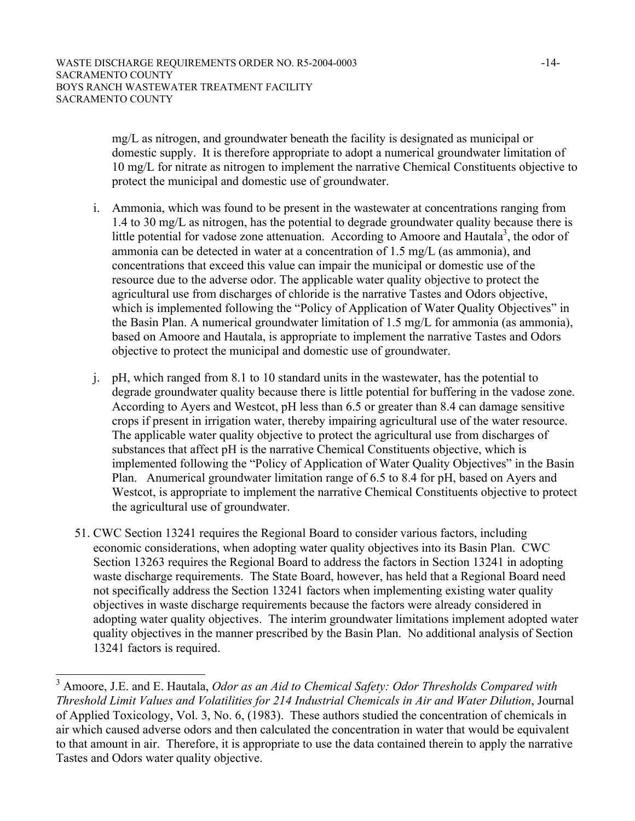mg/L as nitrogen, and groundwater beneath the facility is designated as municipal or domestic supply. It is therefore appropriate to adopt a numerical groundwater limitation of 10 mg/L for nitrate as nitrogen to implement the narrative Chemical Constituents objective to protect the municipal and domestic use of groundwater.

- i. Ammonia, which was found to be present in the wastewater at concentrations ranging from 1.4 to 30 mg/L as nitrogen, has the potential to degrade groundwater quality because there is little potential for vadose zone attenuation. According to Amoore and Hautala<sup>3</sup>, the odor of ammonia can be detected in water at a concentration of 1.5 mg/L (as ammonia), and concentrations that exceed this value can impair the municipal or domestic use of the resource due to the adverse odor. The applicable water quality objective to protect the agricultural use from discharges of chloride is the narrative Tastes and Odors objective, which is implemented following the "Policy of Application of Water Quality Objectives" in the Basin Plan. A numerical groundwater limitation of 1.5 mg/L for ammonia (as ammonia), based on Amoore and Hautala, is appropriate to implement the narrative Tastes and Odors objective to protect the municipal and domestic use of groundwater.
- j. pH, which ranged from 8.1 to 10 standard units in the wastewater, has the potential to degrade groundwater quality because there is little potential for buffering in the vadose zone. According to Ayers and Westcot, pH less than 6.5 or greater than 8.4 can damage sensitive crops if present in irrigation water, thereby impairing agricultural use of the water resource. The applicable water quality objective to protect the agricultural use from discharges of substances that affect pH is the narrative Chemical Constituents objective, which is implemented following the "Policy of Application of Water Quality Objectives" in the Basin Plan. Anumerical groundwater limitation range of 6.5 to 8.4 for pH, based on Ayers and Westcot, is appropriate to implement the narrative Chemical Constituents objective to protect the agricultural use of groundwater.
- 51. CWC Section 13241 requires the Regional Board to consider various factors, including economic considerations, when adopting water quality objectives into its Basin Plan. CWC Section 13263 requires the Regional Board to address the factors in Section 13241 in adopting waste discharge requirements. The State Board, however, has held that a Regional Board need not specifically address the Section 13241 factors when implementing existing water quality objectives in waste discharge requirements because the factors were already considered in adopting water quality objectives. The interim groundwater limitations implement adopted water quality objectives in the manner prescribed by the Basin Plan. No additional analysis of Section 13241 factors is required.

<sup>&</sup>lt;sup>3</sup> Amoore, J.E. and E. Hautala, *Odor as an Aid to Chemical Safety: Odor Thresholds Compared with Threshold Limit Values and Volatilities for 214 Industrial Chemicals in Air and Water Dilution*, Journal of Applied Toxicology, Vol. 3, No. 6, (1983). These authors studied the concentration of chemicals in air which caused adverse odors and then calculated the concentration in water that would be equivalent to that amount in air. Therefore, it is appropriate to use the data contained therein to apply the narrative Tastes and Odors water quality objective.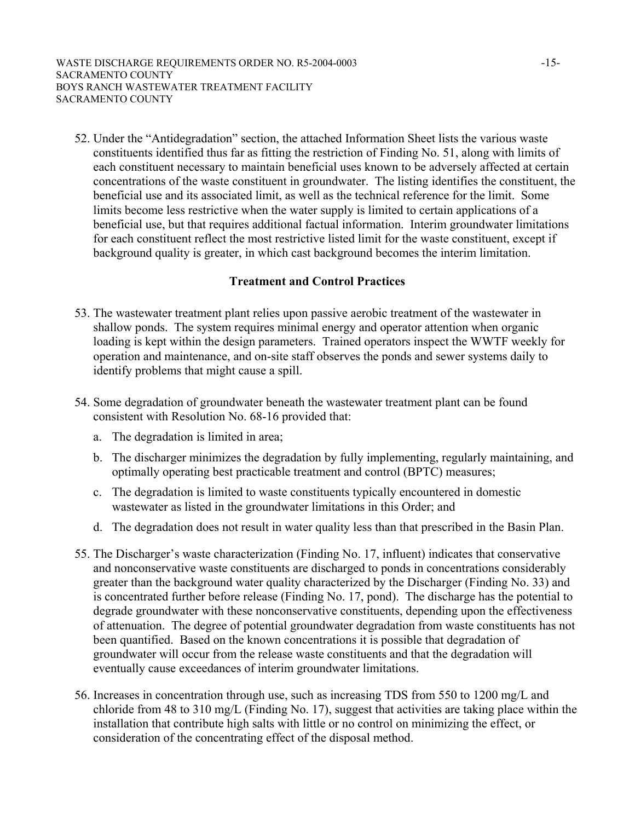52. Under the "Antidegradation" section, the attached Information Sheet lists the various waste constituents identified thus far as fitting the restriction of Finding No. 51, along with limits of each constituent necessary to maintain beneficial uses known to be adversely affected at certain concentrations of the waste constituent in groundwater. The listing identifies the constituent, the beneficial use and its associated limit, as well as the technical reference for the limit. Some limits become less restrictive when the water supply is limited to certain applications of a beneficial use, but that requires additional factual information. Interim groundwater limitations for each constituent reflect the most restrictive listed limit for the waste constituent, except if background quality is greater, in which cast background becomes the interim limitation.

## **Treatment and Control Practices**

- 53. The wastewater treatment plant relies upon passive aerobic treatment of the wastewater in shallow ponds. The system requires minimal energy and operator attention when organic loading is kept within the design parameters. Trained operators inspect the WWTF weekly for operation and maintenance, and on-site staff observes the ponds and sewer systems daily to identify problems that might cause a spill.
- 54. Some degradation of groundwater beneath the wastewater treatment plant can be found consistent with Resolution No. 68-16 provided that:
	- a. The degradation is limited in area;
	- b. The discharger minimizes the degradation by fully implementing, regularly maintaining, and optimally operating best practicable treatment and control (BPTC) measures;
	- c. The degradation is limited to waste constituents typically encountered in domestic wastewater as listed in the groundwater limitations in this Order; and
	- d. The degradation does not result in water quality less than that prescribed in the Basin Plan.
- 55. The Discharger's waste characterization (Finding No. 17, influent) indicates that conservative and nonconservative waste constituents are discharged to ponds in concentrations considerably greater than the background water quality characterized by the Discharger (Finding No. 33) and is concentrated further before release (Finding No. 17, pond). The discharge has the potential to degrade groundwater with these nonconservative constituents, depending upon the effectiveness of attenuation. The degree of potential groundwater degradation from waste constituents has not been quantified. Based on the known concentrations it is possible that degradation of groundwater will occur from the release waste constituents and that the degradation will eventually cause exceedances of interim groundwater limitations.
- 56. Increases in concentration through use, such as increasing TDS from 550 to 1200 mg/L and chloride from 48 to 310 mg/L (Finding No. 17), suggest that activities are taking place within the installation that contribute high salts with little or no control on minimizing the effect, or consideration of the concentrating effect of the disposal method.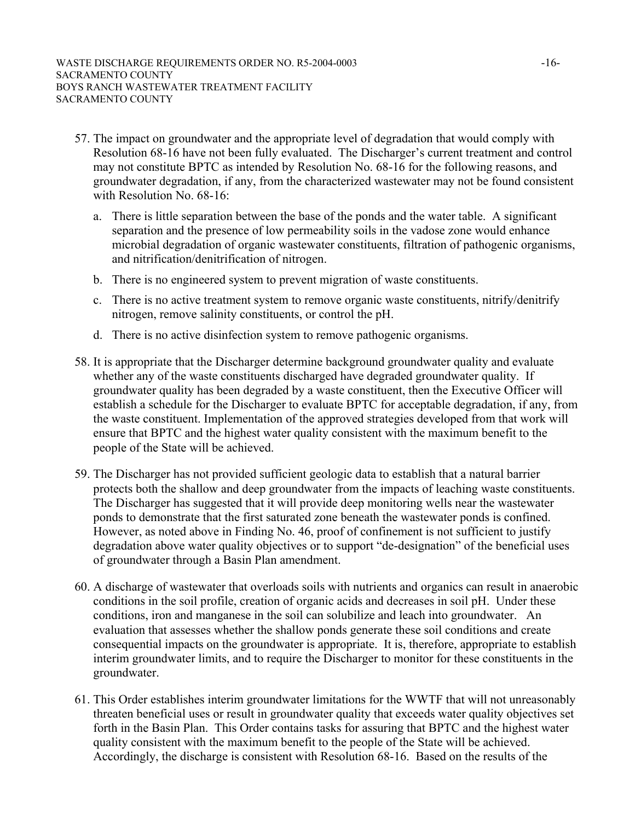- 57. The impact on groundwater and the appropriate level of degradation that would comply with Resolution 68-16 have not been fully evaluated. The Discharger's current treatment and control may not constitute BPTC as intended by Resolution No. 68-16 for the following reasons, and groundwater degradation, if any, from the characterized wastewater may not be found consistent with Resolution No. 68-16:
	- a. There is little separation between the base of the ponds and the water table. A significant separation and the presence of low permeability soils in the vadose zone would enhance microbial degradation of organic wastewater constituents, filtration of pathogenic organisms, and nitrification/denitrification of nitrogen.
	- b. There is no engineered system to prevent migration of waste constituents.
	- c. There is no active treatment system to remove organic waste constituents, nitrify/denitrify nitrogen, remove salinity constituents, or control the pH.
	- d. There is no active disinfection system to remove pathogenic organisms.
- 58. It is appropriate that the Discharger determine background groundwater quality and evaluate whether any of the waste constituents discharged have degraded groundwater quality. If groundwater quality has been degraded by a waste constituent, then the Executive Officer will establish a schedule for the Discharger to evaluate BPTC for acceptable degradation, if any, from the waste constituent. Implementation of the approved strategies developed from that work will ensure that BPTC and the highest water quality consistent with the maximum benefit to the people of the State will be achieved.
- 59. The Discharger has not provided sufficient geologic data to establish that a natural barrier protects both the shallow and deep groundwater from the impacts of leaching waste constituents. The Discharger has suggested that it will provide deep monitoring wells near the wastewater ponds to demonstrate that the first saturated zone beneath the wastewater ponds is confined. However, as noted above in Finding No. 46, proof of confinement is not sufficient to justify degradation above water quality objectives or to support "de-designation" of the beneficial uses of groundwater through a Basin Plan amendment.
- 60. A discharge of wastewater that overloads soils with nutrients and organics can result in anaerobic conditions in the soil profile, creation of organic acids and decreases in soil pH. Under these conditions, iron and manganese in the soil can solubilize and leach into groundwater. An evaluation that assesses whether the shallow ponds generate these soil conditions and create consequential impacts on the groundwater is appropriate. It is, therefore, appropriate to establish interim groundwater limits, and to require the Discharger to monitor for these constituents in the groundwater.
- 61. This Order establishes interim groundwater limitations for the WWTF that will not unreasonably threaten beneficial uses or result in groundwater quality that exceeds water quality objectives set forth in the Basin Plan. This Order contains tasks for assuring that BPTC and the highest water quality consistent with the maximum benefit to the people of the State will be achieved. Accordingly, the discharge is consistent with Resolution 68-16. Based on the results of the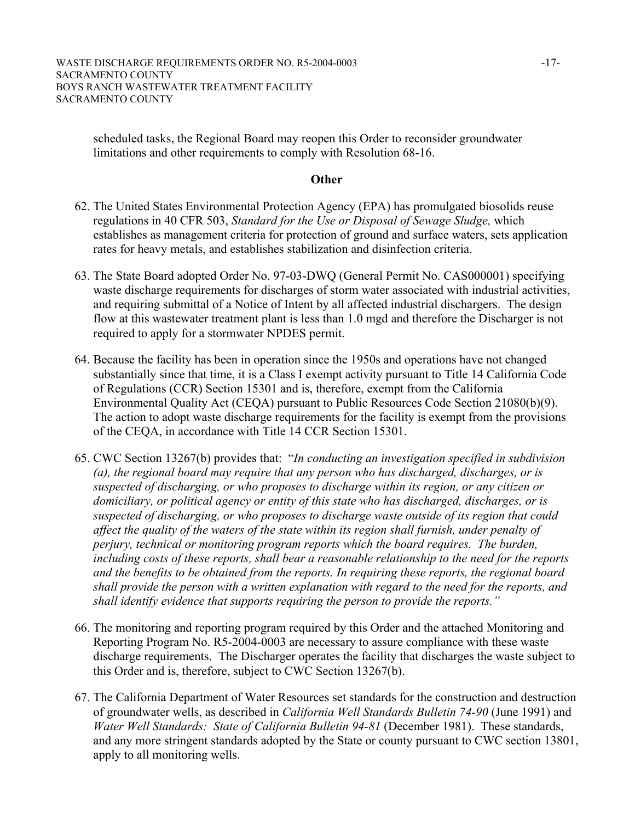scheduled tasks, the Regional Board may reopen this Order to reconsider groundwater limitations and other requirements to comply with Resolution 68-16.

#### **Other**

- 62. The United States Environmental Protection Agency (EPA) has promulgated biosolids reuse regulations in 40 CFR 503, *Standard for the Use or Disposal of Sewage Sludge,* which establishes as management criteria for protection of ground and surface waters, sets application rates for heavy metals, and establishes stabilization and disinfection criteria.
- 63. The State Board adopted Order No. 97-03-DWQ (General Permit No. CAS000001) specifying waste discharge requirements for discharges of storm water associated with industrial activities, and requiring submittal of a Notice of Intent by all affected industrial dischargers. The design flow at this wastewater treatment plant is less than 1.0 mgd and therefore the Discharger is not required to apply for a stormwater NPDES permit.
- 64. Because the facility has been in operation since the 1950s and operations have not changed substantially since that time, it is a Class I exempt activity pursuant to Title 14 California Code of Regulations (CCR) Section 15301 and is, therefore, exempt from the California Environmental Quality Act (CEQA) pursuant to Public Resources Code Section 21080(b)(9). The action to adopt waste discharge requirements for the facility is exempt from the provisions of the CEQA, in accordance with Title 14 CCR Section 15301.
- 65. CWC Section 13267(b) provides that: "*In conducting an investigation specified in subdivision (a), the regional board may require that any person who has discharged, discharges, or is suspected of discharging, or who proposes to discharge within its region, or any citizen or domiciliary, or political agency or entity of this state who has discharged, discharges, or is suspected of discharging, or who proposes to discharge waste outside of its region that could affect the quality of the waters of the state within its region shall furnish, under penalty of perjury, technical or monitoring program reports which the board requires. The burden, including costs of these reports, shall bear a reasonable relationship to the need for the reports and the benefits to be obtained from the reports. In requiring these reports, the regional board shall provide the person with a written explanation with regard to the need for the reports, and shall identify evidence that supports requiring the person to provide the reports."*
- 66. The monitoring and reporting program required by this Order and the attached Monitoring and Reporting Program No. R5-2004-0003 are necessary to assure compliance with these waste discharge requirements. The Discharger operates the facility that discharges the waste subject to this Order and is, therefore, subject to CWC Section 13267(b).
- 67. The California Department of Water Resources set standards for the construction and destruction of groundwater wells, as described in *California Well Standards Bulletin 74-90* (June 1991) and *Water Well Standards: State of California Bulletin 94-81* (December 1981). These standards, and any more stringent standards adopted by the State or county pursuant to CWC section 13801, apply to all monitoring wells.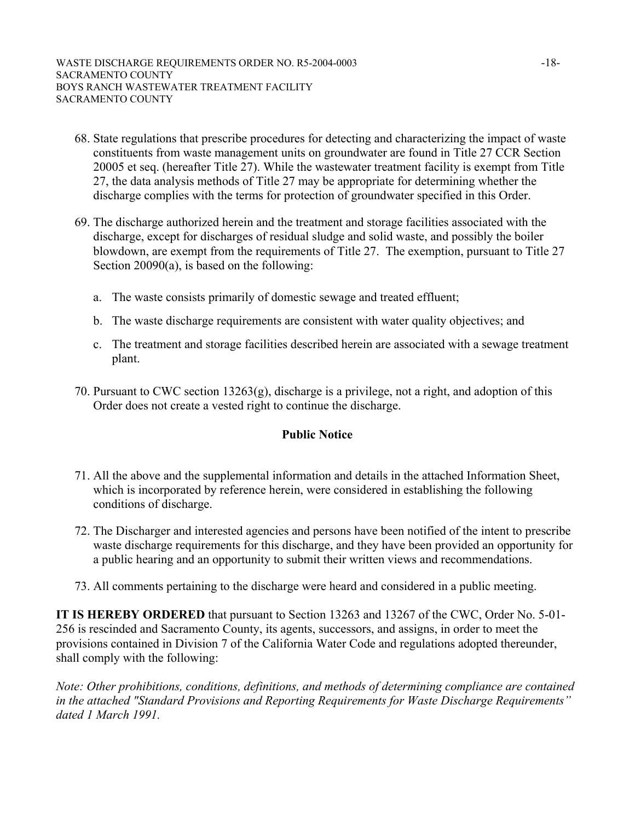- 68. State regulations that prescribe procedures for detecting and characterizing the impact of waste constituents from waste management units on groundwater are found in Title 27 CCR Section 20005 et seq. (hereafter Title 27). While the wastewater treatment facility is exempt from Title 27, the data analysis methods of Title 27 may be appropriate for determining whether the discharge complies with the terms for protection of groundwater specified in this Order.
- 69. The discharge authorized herein and the treatment and storage facilities associated with the discharge, except for discharges of residual sludge and solid waste, and possibly the boiler blowdown, are exempt from the requirements of Title 27. The exemption, pursuant to Title 27 Section 20090(a), is based on the following:
	- a. The waste consists primarily of domestic sewage and treated effluent;
	- b. The waste discharge requirements are consistent with water quality objectives; and
	- c. The treatment and storage facilities described herein are associated with a sewage treatment plant.
- 70. Pursuant to CWC section 13263(g), discharge is a privilege, not a right, and adoption of this Order does not create a vested right to continue the discharge.

#### **Public Notice**

- 71. All the above and the supplemental information and details in the attached Information Sheet, which is incorporated by reference herein, were considered in establishing the following conditions of discharge.
- 72. The Discharger and interested agencies and persons have been notified of the intent to prescribe waste discharge requirements for this discharge, and they have been provided an opportunity for a public hearing and an opportunity to submit their written views and recommendations.
- 73. All comments pertaining to the discharge were heard and considered in a public meeting.

**IT IS HEREBY ORDERED** that pursuant to Section 13263 and 13267 of the CWC, Order No. 5-01- 256 is rescinded and Sacramento County, its agents, successors, and assigns, in order to meet the provisions contained in Division 7 of the California Water Code and regulations adopted thereunder, shall comply with the following:

*Note: Other prohibitions, conditions, definitions, and methods of determining compliance are contained in the attached "Standard Provisions and Reporting Requirements for Waste Discharge Requirements" dated 1 March 1991.*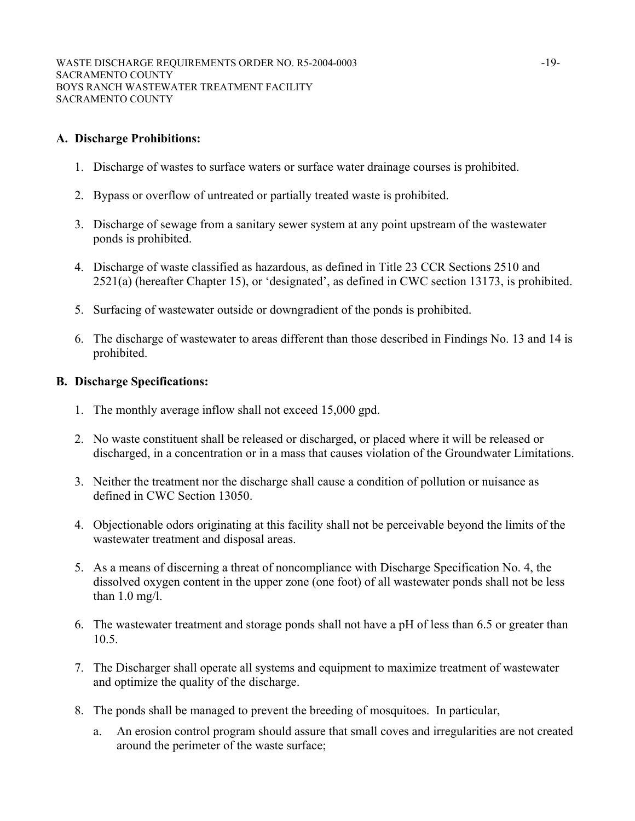# **A. Discharge Prohibitions:**

- 1. Discharge of wastes to surface waters or surface water drainage courses is prohibited.
- 2. Bypass or overflow of untreated or partially treated waste is prohibited.
- 3. Discharge of sewage from a sanitary sewer system at any point upstream of the wastewater ponds is prohibited.
- 4. Discharge of waste classified as hazardous, as defined in Title 23 CCR Sections 2510 and 2521(a) (hereafter Chapter 15), or 'designated', as defined in CWC section 13173, is prohibited.
- 5. Surfacing of wastewater outside or downgradient of the ponds is prohibited.
- 6. The discharge of wastewater to areas different than those described in Findings No. 13 and 14 is prohibited.

## **B. Discharge Specifications:**

- 1. The monthly average inflow shall not exceed 15,000 gpd.
- 2. No waste constituent shall be released or discharged, or placed where it will be released or discharged, in a concentration or in a mass that causes violation of the Groundwater Limitations.
- 3. Neither the treatment nor the discharge shall cause a condition of pollution or nuisance as defined in CWC Section 13050.
- 4. Objectionable odors originating at this facility shall not be perceivable beyond the limits of the wastewater treatment and disposal areas.
- 5. As a means of discerning a threat of noncompliance with Discharge Specification No. 4, the dissolved oxygen content in the upper zone (one foot) of all wastewater ponds shall not be less than 1.0 mg/l.
- 6. The wastewater treatment and storage ponds shall not have a pH of less than 6.5 or greater than 10.5.
- 7. The Discharger shall operate all systems and equipment to maximize treatment of wastewater and optimize the quality of the discharge.
- 8. The ponds shall be managed to prevent the breeding of mosquitoes. In particular,
	- a. An erosion control program should assure that small coves and irregularities are not created around the perimeter of the waste surface;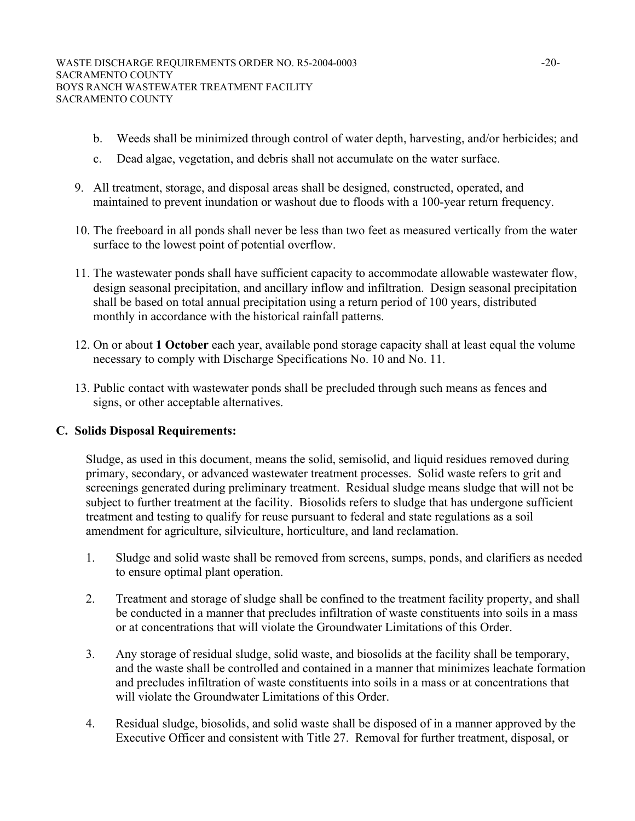- b. Weeds shall be minimized through control of water depth, harvesting, and/or herbicides; and
- c. Dead algae, vegetation, and debris shall not accumulate on the water surface.
- 9. All treatment, storage, and disposal areas shall be designed, constructed, operated, and maintained to prevent inundation or washout due to floods with a 100-year return frequency.
- 10. The freeboard in all ponds shall never be less than two feet as measured vertically from the water surface to the lowest point of potential overflow.
- 11. The wastewater ponds shall have sufficient capacity to accommodate allowable wastewater flow, design seasonal precipitation, and ancillary inflow and infiltration. Design seasonal precipitation shall be based on total annual precipitation using a return period of 100 years, distributed monthly in accordance with the historical rainfall patterns.
- 12. On or about **1 October** each year, available pond storage capacity shall at least equal the volume necessary to comply with Discharge Specifications No. 10 and No. 11.
- 13. Public contact with wastewater ponds shall be precluded through such means as fences and signs, or other acceptable alternatives.

## **C. Solids Disposal Requirements:**

Sludge, as used in this document, means the solid, semisolid, and liquid residues removed during primary, secondary, or advanced wastewater treatment processes. Solid waste refers to grit and screenings generated during preliminary treatment. Residual sludge means sludge that will not be subject to further treatment at the facility. Biosolids refers to sludge that has undergone sufficient treatment and testing to qualify for reuse pursuant to federal and state regulations as a soil amendment for agriculture, silviculture, horticulture, and land reclamation.

- 1. Sludge and solid waste shall be removed from screens, sumps, ponds, and clarifiers as needed to ensure optimal plant operation.
- 2. Treatment and storage of sludge shall be confined to the treatment facility property, and shall be conducted in a manner that precludes infiltration of waste constituents into soils in a mass or at concentrations that will violate the Groundwater Limitations of this Order.
- 3. Any storage of residual sludge, solid waste, and biosolids at the facility shall be temporary, and the waste shall be controlled and contained in a manner that minimizes leachate formation and precludes infiltration of waste constituents into soils in a mass or at concentrations that will violate the Groundwater Limitations of this Order.
- 4. Residual sludge, biosolids, and solid waste shall be disposed of in a manner approved by the Executive Officer and consistent with Title 27. Removal for further treatment, disposal, or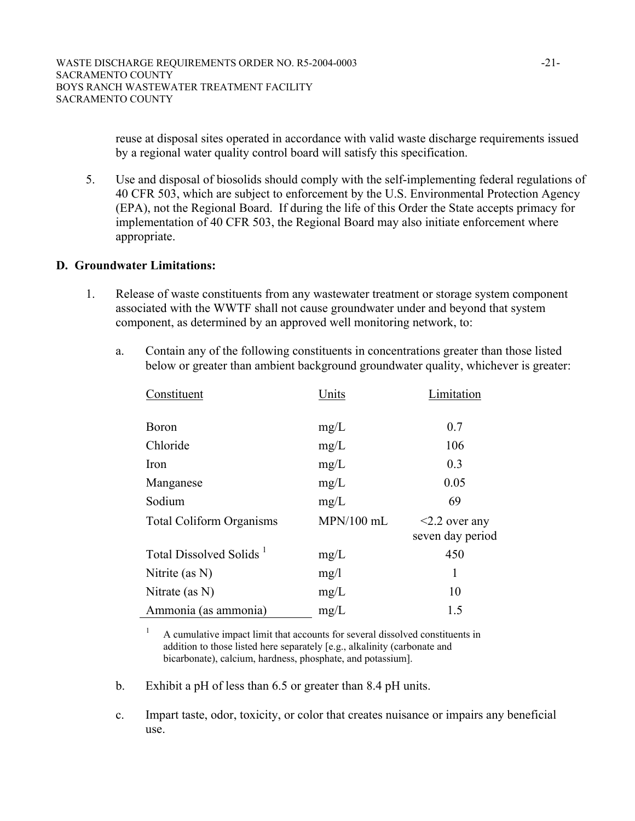reuse at disposal sites operated in accordance with valid waste discharge requirements issued by a regional water quality control board will satisfy this specification.

5. Use and disposal of biosolids should comply with the self-implementing federal regulations of 40 CFR 503, which are subject to enforcement by the U.S. Environmental Protection Agency (EPA), not the Regional Board. If during the life of this Order the State accepts primacy for implementation of 40 CFR 503, the Regional Board may also initiate enforcement where appropriate.

## **D. Groundwater Limitations:**

- 1. Release of waste constituents from any wastewater treatment or storage system component associated with the WWTF shall not cause groundwater under and beyond that system component, as determined by an approved well monitoring network, to:
	- a. Contain any of the following constituents in concentrations greater than those listed below or greater than ambient background groundwater quality, whichever is greater:

| Constituent                         | Units        | Limitation                              |
|-------------------------------------|--------------|-----------------------------------------|
| <b>Boron</b>                        | mg/L         | 0.7                                     |
| Chloride                            | mg/L         | 106                                     |
| Iron                                | mg/L         | 0.3                                     |
| Manganese                           | mg/L         | 0.05                                    |
| Sodium                              | mg/L         | 69                                      |
| <b>Total Coliform Organisms</b>     | $MPN/100$ mL | $\leq$ 2.2 over any<br>seven day period |
| Total Dissolved Solids <sup>1</sup> | mg/L         | 450                                     |
| Nitrite (as $N$ )                   | mg/1         | 1                                       |
| Nitrate (as $N$ )                   | mg/L         | 10                                      |
| Ammonia (as ammonia)                | mg/L         | 1.5                                     |

 $1$  A cumulative impact limit that accounts for several dissolved constituents in addition to those listed here separately [e.g., alkalinity (carbonate and bicarbonate), calcium, hardness, phosphate, and potassium].

- b. Exhibit a pH of less than 6.5 or greater than 8.4 pH units.
- c. Impart taste, odor, toxicity, or color that creates nuisance or impairs any beneficial use.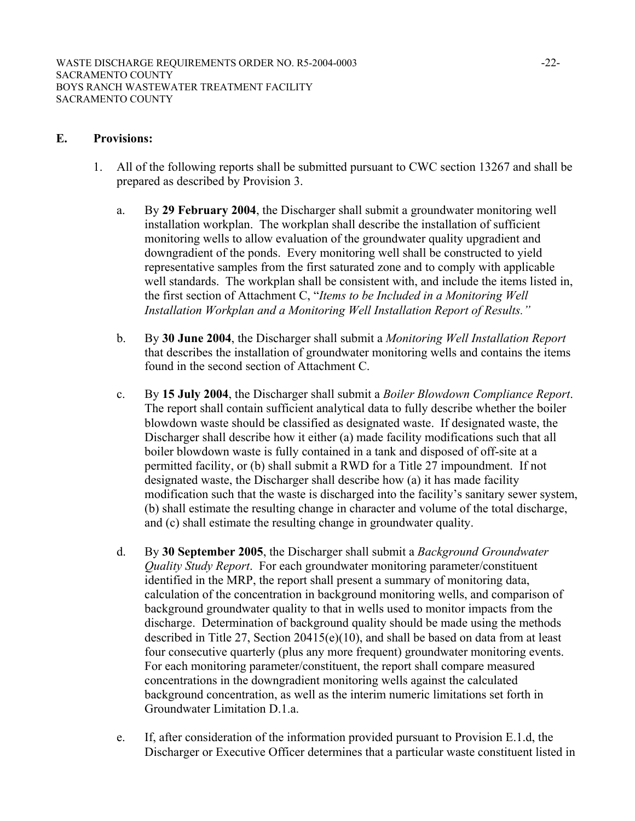#### **E. Provisions:**

- 1. All of the following reports shall be submitted pursuant to CWC section 13267 and shall be prepared as described by Provision 3.
	- a. By **29 February 2004**, the Discharger shall submit a groundwater monitoring well installation workplan. The workplan shall describe the installation of sufficient monitoring wells to allow evaluation of the groundwater quality upgradient and downgradient of the ponds. Every monitoring well shall be constructed to yield representative samples from the first saturated zone and to comply with applicable well standards. The workplan shall be consistent with, and include the items listed in, the first section of Attachment C, "*Items to be Included in a Monitoring Well Installation Workplan and a Monitoring Well Installation Report of Results."*
	- b. By **30 June 2004**, the Discharger shall submit a *Monitoring Well Installation Report* that describes the installation of groundwater monitoring wells and contains the items found in the second section of Attachment C.
	- c. By **15 July 2004**, the Discharger shall submit a *Boiler Blowdown Compliance Report*. The report shall contain sufficient analytical data to fully describe whether the boiler blowdown waste should be classified as designated waste. If designated waste, the Discharger shall describe how it either (a) made facility modifications such that all boiler blowdown waste is fully contained in a tank and disposed of off-site at a permitted facility, or (b) shall submit a RWD for a Title 27 impoundment. If not designated waste, the Discharger shall describe how (a) it has made facility modification such that the waste is discharged into the facility's sanitary sewer system, (b) shall estimate the resulting change in character and volume of the total discharge, and (c) shall estimate the resulting change in groundwater quality.
	- d. By **30 September 2005**, the Discharger shall submit a *Background Groundwater Quality Study Report*. For each groundwater monitoring parameter/constituent identified in the MRP, the report shall present a summary of monitoring data, calculation of the concentration in background monitoring wells, and comparison of background groundwater quality to that in wells used to monitor impacts from the discharge. Determination of background quality should be made using the methods described in Title 27, Section 20415(e)(10), and shall be based on data from at least four consecutive quarterly (plus any more frequent) groundwater monitoring events. For each monitoring parameter/constituent, the report shall compare measured concentrations in the downgradient monitoring wells against the calculated background concentration, as well as the interim numeric limitations set forth in Groundwater Limitation D.1.a.
	- e. If, after consideration of the information provided pursuant to Provision E.1.d, the Discharger or Executive Officer determines that a particular waste constituent listed in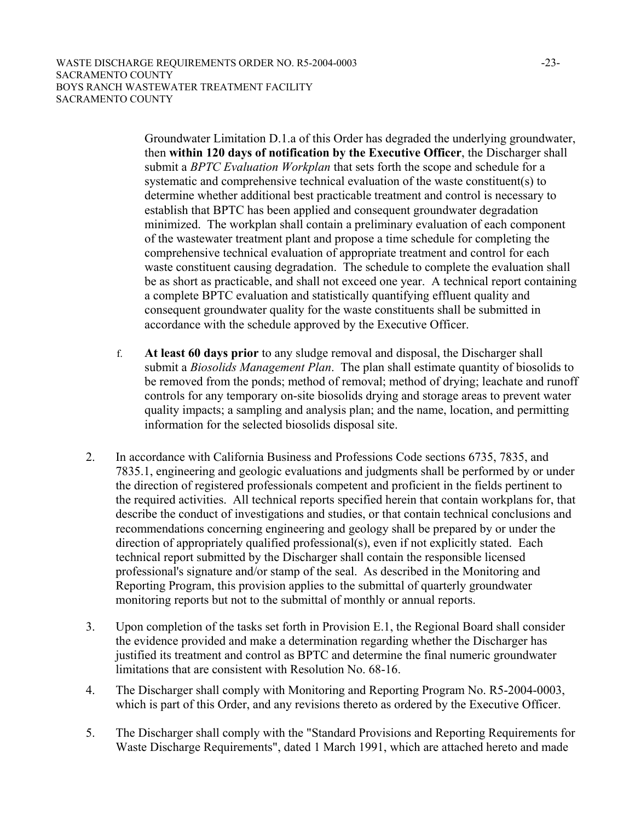Groundwater Limitation D.1.a of this Order has degraded the underlying groundwater, then **within 120 days of notification by the Executive Officer**, the Discharger shall submit a *BPTC Evaluation Workplan* that sets forth the scope and schedule for a systematic and comprehensive technical evaluation of the waste constituent(s) to determine whether additional best practicable treatment and control is necessary to establish that BPTC has been applied and consequent groundwater degradation minimized. The workplan shall contain a preliminary evaluation of each component of the wastewater treatment plant and propose a time schedule for completing the comprehensive technical evaluation of appropriate treatment and control for each waste constituent causing degradation. The schedule to complete the evaluation shall be as short as practicable, and shall not exceed one year. A technical report containing a complete BPTC evaluation and statistically quantifying effluent quality and consequent groundwater quality for the waste constituents shall be submitted in accordance with the schedule approved by the Executive Officer.

- f. **At least 60 days prior** to any sludge removal and disposal, the Discharger shall submit a *Biosolids Management Plan*. The plan shall estimate quantity of biosolids to be removed from the ponds; method of removal; method of drying; leachate and runoff controls for any temporary on-site biosolids drying and storage areas to prevent water quality impacts; a sampling and analysis plan; and the name, location, and permitting information for the selected biosolids disposal site.
- 2. In accordance with California Business and Professions Code sections 6735, 7835, and 7835.1, engineering and geologic evaluations and judgments shall be performed by or under the direction of registered professionals competent and proficient in the fields pertinent to the required activities. All technical reports specified herein that contain workplans for, that describe the conduct of investigations and studies, or that contain technical conclusions and recommendations concerning engineering and geology shall be prepared by or under the direction of appropriately qualified professional(s), even if not explicitly stated. Each technical report submitted by the Discharger shall contain the responsible licensed professional's signature and/or stamp of the seal. As described in the Monitoring and Reporting Program, this provision applies to the submittal of quarterly groundwater monitoring reports but not to the submittal of monthly or annual reports.
- 3. Upon completion of the tasks set forth in Provision E.1, the Regional Board shall consider the evidence provided and make a determination regarding whether the Discharger has justified its treatment and control as BPTC and determine the final numeric groundwater limitations that are consistent with Resolution No. 68-16.
- 4. The Discharger shall comply with Monitoring and Reporting Program No. R5-2004-0003, which is part of this Order, and any revisions thereto as ordered by the Executive Officer.
- 5. The Discharger shall comply with the "Standard Provisions and Reporting Requirements for Waste Discharge Requirements", dated 1 March 1991, which are attached hereto and made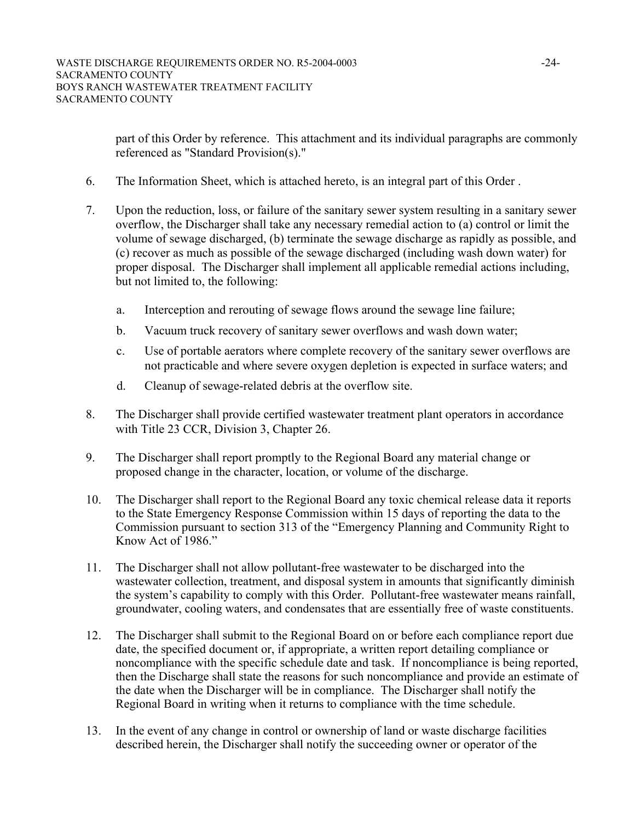part of this Order by reference. This attachment and its individual paragraphs are commonly referenced as "Standard Provision(s)."

- 6. The Information Sheet, which is attached hereto, is an integral part of this Order .
- 7. Upon the reduction, loss, or failure of the sanitary sewer system resulting in a sanitary sewer overflow, the Discharger shall take any necessary remedial action to (a) control or limit the volume of sewage discharged, (b) terminate the sewage discharge as rapidly as possible, and (c) recover as much as possible of the sewage discharged (including wash down water) for proper disposal. The Discharger shall implement all applicable remedial actions including, but not limited to, the following:
	- a. Interception and rerouting of sewage flows around the sewage line failure;
	- b. Vacuum truck recovery of sanitary sewer overflows and wash down water;
	- c. Use of portable aerators where complete recovery of the sanitary sewer overflows are not practicable and where severe oxygen depletion is expected in surface waters; and
	- d. Cleanup of sewage-related debris at the overflow site.
- 8. The Discharger shall provide certified wastewater treatment plant operators in accordance with Title 23 CCR, Division 3, Chapter 26.
- 9. The Discharger shall report promptly to the Regional Board any material change or proposed change in the character, location, or volume of the discharge.
- 10. The Discharger shall report to the Regional Board any toxic chemical release data it reports to the State Emergency Response Commission within 15 days of reporting the data to the Commission pursuant to section 313 of the "Emergency Planning and Community Right to Know Act of 1986."
- 11. The Discharger shall not allow pollutant-free wastewater to be discharged into the wastewater collection, treatment, and disposal system in amounts that significantly diminish the system's capability to comply with this Order. Pollutant-free wastewater means rainfall, groundwater, cooling waters, and condensates that are essentially free of waste constituents.
- 12. The Discharger shall submit to the Regional Board on or before each compliance report due date, the specified document or, if appropriate, a written report detailing compliance or noncompliance with the specific schedule date and task. If noncompliance is being reported, then the Discharge shall state the reasons for such noncompliance and provide an estimate of the date when the Discharger will be in compliance. The Discharger shall notify the Regional Board in writing when it returns to compliance with the time schedule.
- 13. In the event of any change in control or ownership of land or waste discharge facilities described herein, the Discharger shall notify the succeeding owner or operator of the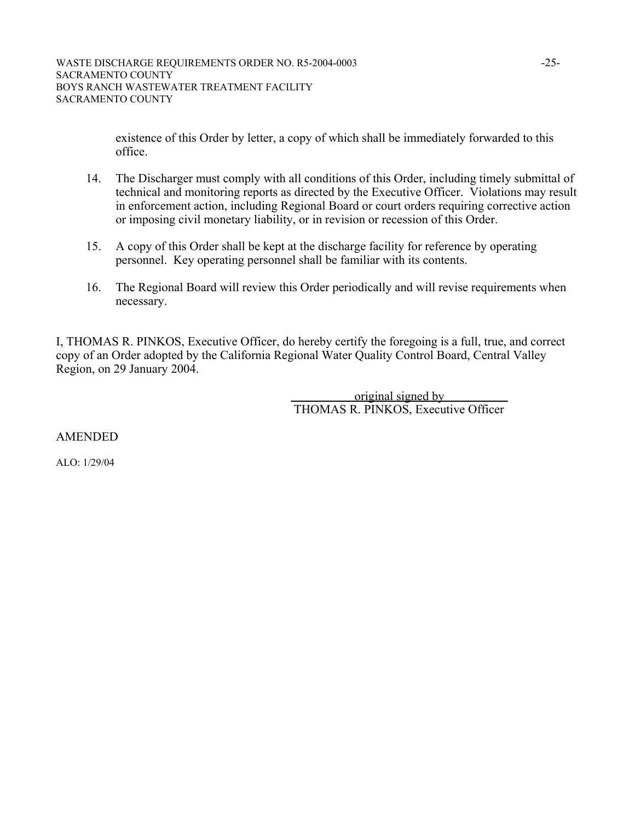existence of this Order by letter, a copy of which shall be immediately forwarded to this office.

- 14. The Discharger must comply with all conditions of this Order, including timely submittal of technical and monitoring reports as directed by the Executive Officer. Violations may result in enforcement action, including Regional Board or court orders requiring corrective action or imposing civil monetary liability, or in revision or recession of this Order.
- 15. A copy of this Order shall be kept at the discharge facility for reference by operating personnel. Key operating personnel shall be familiar with its contents.
- 16. The Regional Board will review this Order periodically and will revise requirements when necessary.

I, THOMAS R. PINKOS, Executive Officer, do hereby certify the foregoing is a full, true, and correct copy of an Order adopted by the California Regional Water Quality Control Board, Central Valley Region, on 29 January 2004.

> original signed by THOMAS R. PINKOS, Executive Officer

AMENDED

ALO: 1/29/04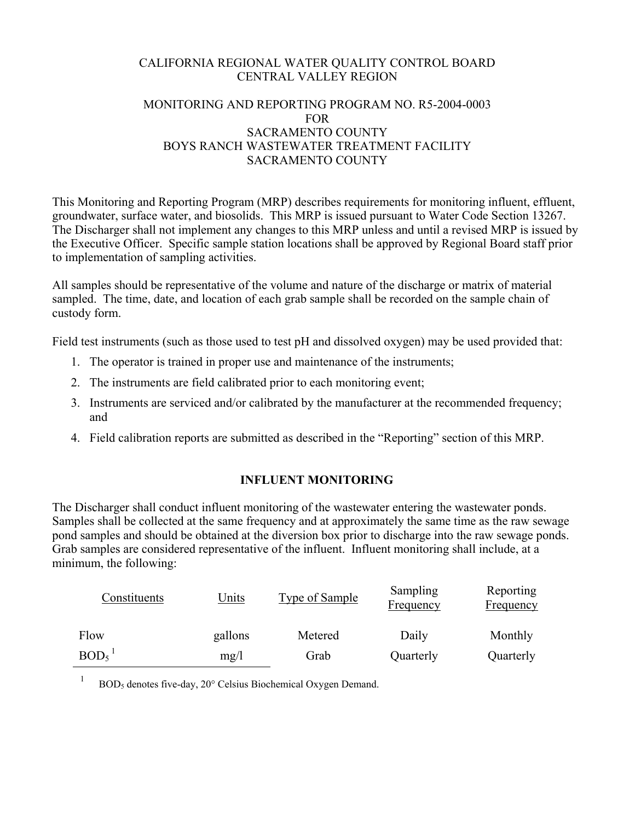# CALIFORNIA REGIONAL WATER QUALITY CONTROL BOARD CENTRAL VALLEY REGION

# MONITORING AND REPORTING PROGRAM NO. R5-2004-0003 **FOR** SACRAMENTO COUNTY BOYS RANCH WASTEWATER TREATMENT FACILITY SACRAMENTO COUNTY

This Monitoring and Reporting Program (MRP) describes requirements for monitoring influent, effluent, groundwater, surface water, and biosolids. This MRP is issued pursuant to Water Code Section 13267. The Discharger shall not implement any changes to this MRP unless and until a revised MRP is issued by the Executive Officer. Specific sample station locations shall be approved by Regional Board staff prior to implementation of sampling activities.

All samples should be representative of the volume and nature of the discharge or matrix of material sampled. The time, date, and location of each grab sample shall be recorded on the sample chain of custody form.

Field test instruments (such as those used to test pH and dissolved oxygen) may be used provided that:

- 1. The operator is trained in proper use and maintenance of the instruments;
- 2. The instruments are field calibrated prior to each monitoring event;
- 3. Instruments are serviced and/or calibrated by the manufacturer at the recommended frequency; and
- 4. Field calibration reports are submitted as described in the "Reporting" section of this MRP.

# **INFLUENT MONITORING**

The Discharger shall conduct influent monitoring of the wastewater entering the wastewater ponds. Samples shall be collected at the same frequency and at approximately the same time as the raw sewage pond samples and should be obtained at the diversion box prior to discharge into the raw sewage ponds. Grab samples are considered representative of the influent. Influent monitoring shall include, at a minimum, the following:

| Constituents     | <u>Units</u> | <b>Type of Sample</b> | Sampling<br>Frequency | Reporting<br><b>Frequency</b> |
|------------------|--------------|-----------------------|-----------------------|-------------------------------|
| Flow             | gallons      | Metered               | Daily                 | Monthly                       |
| BOD <sub>5</sub> | mg/l         | Grab                  | Quarterly             | Quarterly                     |

<sup>1</sup> BOD<sub>5</sub> denotes five-day, 20 $^{\circ}$  Celsius Biochemical Oxygen Demand.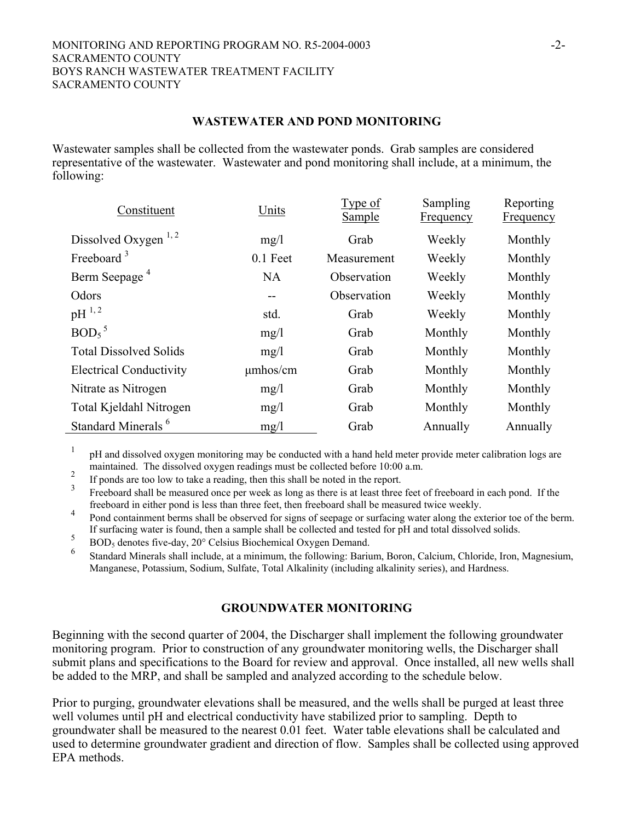#### **WASTEWATER AND POND MONITORING**

Wastewater samples shall be collected from the wastewater ponds. Grab samples are considered representative of the wastewater. Wastewater and pond monitoring shall include, at a minimum, the following:

| Constituent                     | Units         | <u>Type of</u><br><b>Sample</b> | Sampling<br><b>Frequency</b> | Reporting<br><b>Frequency</b> |
|---------------------------------|---------------|---------------------------------|------------------------------|-------------------------------|
| Dissolved Oxygen <sup>1,2</sup> | mg/1          | Grab                            | Weekly                       | Monthly                       |
| Freeboard $3$                   | $0.1$ Feet    | Measurement                     | Weekly                       | Monthly                       |
| Berm Seepage <sup>4</sup>       | <b>NA</b>     | Observation                     | Weekly                       | Monthly                       |
| Odors                           | $- -$         | Observation                     | Weekly                       | Monthly                       |
| $pH^{1,2}$                      | std.          | Grab                            | Weekly                       | Monthly                       |
| $BOD5$ <sup>5</sup>             | mg/1          | Grab                            | Monthly                      | Monthly                       |
| <b>Total Dissolved Solids</b>   | mg/1          | Grab                            | Monthly                      | Monthly                       |
| <b>Electrical Conductivity</b>  | $\mu$ mhos/cm | Grab                            | Monthly                      | Monthly                       |
| Nitrate as Nitrogen             | mg/1          | Grab                            | Monthly                      | Monthly                       |
| Total Kjeldahl Nitrogen         | mg/1          | Grab                            | Monthly                      | Monthly                       |
| Standard Minerals <sup>6</sup>  | mg/1          | Grab                            | Annually                     | Annually                      |

1 pH and dissolved oxygen monitoring may be conducted with a hand held meter provide meter calibration logs are maintained. The dissolved oxygen readings must be collected before 10:00 a.m.

<sup>2</sup> If ponds are too low to take a reading, then this shall be noted in the report.

3 Freeboard shall be measured once per week as long as there is at least three feet of freeboard in each pond. If the freeboard in either pond is less than three feet, then freeboard shall be measured twice weekly.

freeboard in either pond is less than three feet, then freeboard shall be measured twice weekly. 4 Pond containment berms shall be observed for signs of seepage or surfacing water along the exterior toe of the berm. If surfacing water is found, then a sample shall be collected and tested for  $pH$  and total dissolved solids.

 $\frac{6}{9}$  BOD<sub>5</sub> denotes five-day, 20 $\degree$  Celsius Biochemical Oxygen Demand.

6 Standard Minerals shall include, at a minimum, the following: Barium, Boron, Calcium, Chloride, Iron, Magnesium, Manganese, Potassium, Sodium, Sulfate, Total Alkalinity (including alkalinity series), and Hardness.

## **GROUNDWATER MONITORING**

Beginning with the second quarter of 2004, the Discharger shall implement the following groundwater monitoring program. Prior to construction of any groundwater monitoring wells, the Discharger shall submit plans and specifications to the Board for review and approval. Once installed, all new wells shall be added to the MRP, and shall be sampled and analyzed according to the schedule below.

Prior to purging, groundwater elevations shall be measured, and the wells shall be purged at least three well volumes until pH and electrical conductivity have stabilized prior to sampling. Depth to groundwater shall be measured to the nearest 0.01 feet. Water table elevations shall be calculated and used to determine groundwater gradient and direction of flow. Samples shall be collected using approved EPA methods.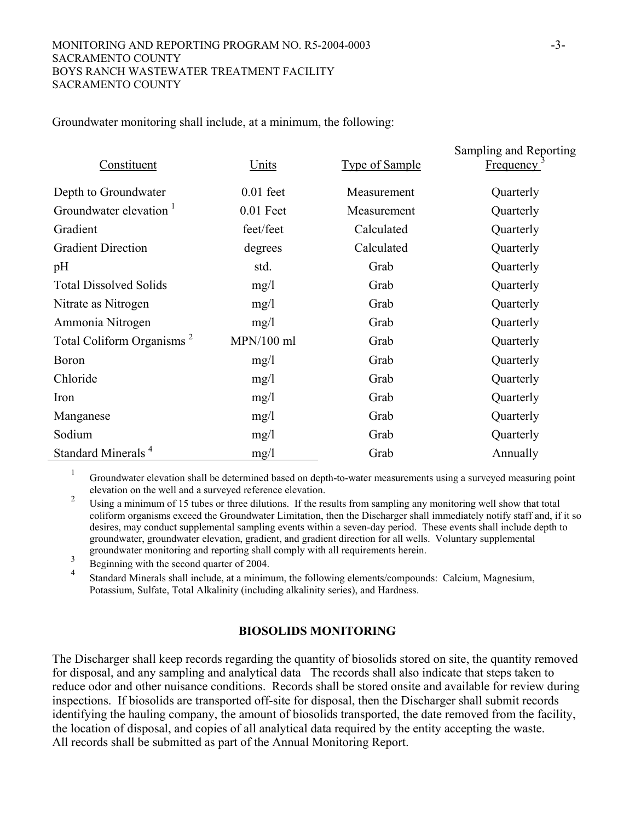Groundwater monitoring shall include, at a minimum, the following:

| Constituent<br><b>Units</b>           |              | <b>Type of Sample</b> | Sampling and Reporting<br><b>Frequency</b> |  |
|---------------------------------------|--------------|-----------------------|--------------------------------------------|--|
| Depth to Groundwater                  | $0.01$ feet  | Measurement           | Quarterly                                  |  |
| Groundwater elevation <sup>1</sup>    | $0.01$ Feet  | Measurement           | Quarterly                                  |  |
| Gradient                              | feet/feet    | Calculated            | Quarterly                                  |  |
| <b>Gradient Direction</b>             | degrees      | Calculated            | Quarterly                                  |  |
| pH                                    | std.         | Grab                  | Quarterly                                  |  |
| <b>Total Dissolved Solids</b>         | mg/1         | Grab                  | Quarterly                                  |  |
| Nitrate as Nitrogen                   | mg/1         | Grab                  | Quarterly                                  |  |
| Ammonia Nitrogen                      | mg/1         | Grab                  | Quarterly                                  |  |
| Total Coliform Organisms <sup>2</sup> | $MPN/100$ ml | Grab                  | Quarterly                                  |  |
| Boron                                 | mg/1         | Grab                  | Quarterly                                  |  |
| Chloride                              | mg/1         | Grab                  | Quarterly                                  |  |
| Iron                                  | mg/1         | Grab                  | Quarterly                                  |  |
| Manganese                             | mg/1         | Grab                  | Quarterly                                  |  |
| Sodium                                | mg/1         | Grab                  | Quarterly                                  |  |
| Standard Minerals <sup>4</sup>        | mg/1         | Grab                  | Annually                                   |  |

1 Groundwater elevation shall be determined based on depth-to-water measurements using a surveyed measuring point

<sup>2</sup> Using a minimum of 15 tubes or three dilutions. If the results from sampling any monitoring well show that total coliform organisms exceed the Groundwater Limitation, then the Discharger shall immediately notify staff and, if it so desires, may conduct supplemental sampling events within a seven-day period. These events shall include depth to groundwater, groundwater elevation, gradient, and gradient direction for all wells. Voluntary supplemental groundwater monitoring and reporting shall comply with all requirements herein.<br>Beginning with the second quarter of 2004.

4 Standard Minerals shall include, at a minimum, the following elements/compounds: Calcium, Magnesium, Potassium, Sulfate, Total Alkalinity (including alkalinity series), and Hardness.

## **BIOSOLIDS MONITORING**

The Discharger shall keep records regarding the quantity of biosolids stored on site, the quantity removed for disposal, and any sampling and analytical data The records shall also indicate that steps taken to reduce odor and other nuisance conditions. Records shall be stored onsite and available for review during inspections. If biosolids are transported off-site for disposal, then the Discharger shall submit records identifying the hauling company, the amount of biosolids transported, the date removed from the facility, the location of disposal, and copies of all analytical data required by the entity accepting the waste. All records shall be submitted as part of the Annual Monitoring Report.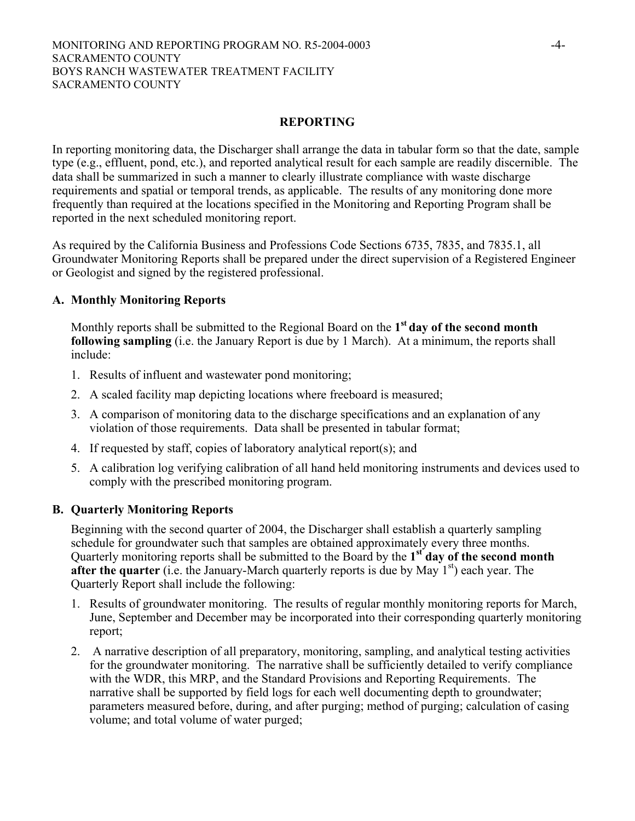#### MONITORING AND REPORTING PROGRAM NO. R5-2004-0003 -4- SACRAMENTO COUNTY BOYS RANCH WASTEWATER TREATMENT FACILITY SACRAMENTO COUNTY

# **REPORTING**

In reporting monitoring data, the Discharger shall arrange the data in tabular form so that the date, sample type (e.g., effluent, pond, etc.), and reported analytical result for each sample are readily discernible. The data shall be summarized in such a manner to clearly illustrate compliance with waste discharge requirements and spatial or temporal trends, as applicable. The results of any monitoring done more frequently than required at the locations specified in the Monitoring and Reporting Program shall be reported in the next scheduled monitoring report.

As required by the California Business and Professions Code Sections 6735, 7835, and 7835.1, all Groundwater Monitoring Reports shall be prepared under the direct supervision of a Registered Engineer or Geologist and signed by the registered professional.

## **A. Monthly Monitoring Reports**

Monthly reports shall be submitted to the Regional Board on the **1st day of the second month following sampling** (i.e. the January Report is due by 1 March). At a minimum, the reports shall include:

- 1. Results of influent and wastewater pond monitoring;
- 2. A scaled facility map depicting locations where freeboard is measured;
- 3. A comparison of monitoring data to the discharge specifications and an explanation of any violation of those requirements. Data shall be presented in tabular format;
- 4. If requested by staff, copies of laboratory analytical report(s); and
- 5. A calibration log verifying calibration of all hand held monitoring instruments and devices used to comply with the prescribed monitoring program.

## **B. Quarterly Monitoring Reports**

Beginning with the second quarter of 2004, the Discharger shall establish a quarterly sampling schedule for groundwater such that samples are obtained approximately every three months. Quarterly monitoring reports shall be submitted to the Board by the **1st day of the second month after the quarter** (i.e. the January-March quarterly reports is due by May 1<sup>st</sup>) each year. The Quarterly Report shall include the following:

- 1. Results of groundwater monitoring. The results of regular monthly monitoring reports for March, June, September and December may be incorporated into their corresponding quarterly monitoring report;
- 2. A narrative description of all preparatory, monitoring, sampling, and analytical testing activities for the groundwater monitoring. The narrative shall be sufficiently detailed to verify compliance with the WDR, this MRP, and the Standard Provisions and Reporting Requirements. The narrative shall be supported by field logs for each well documenting depth to groundwater; parameters measured before, during, and after purging; method of purging; calculation of casing volume; and total volume of water purged;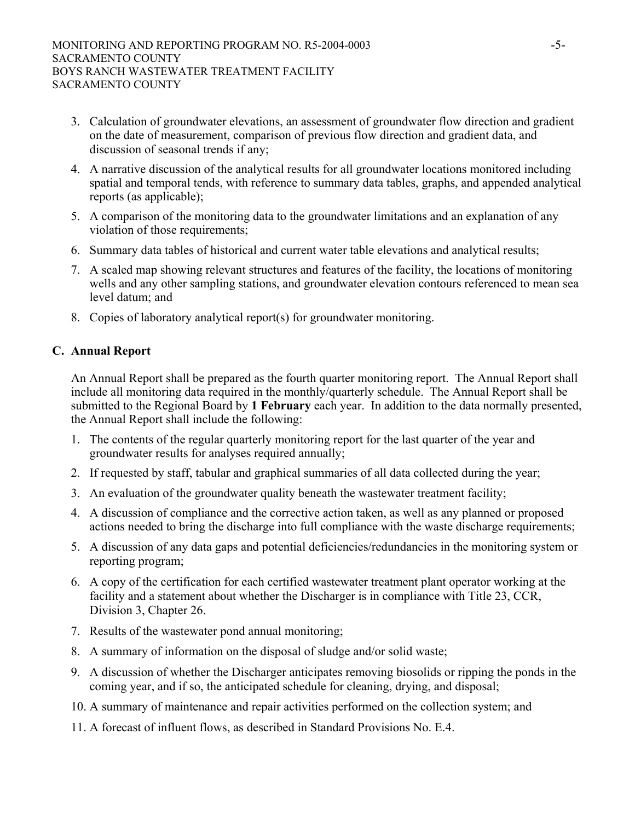- 3. Calculation of groundwater elevations, an assessment of groundwater flow direction and gradient on the date of measurement, comparison of previous flow direction and gradient data, and discussion of seasonal trends if any;
- 4. A narrative discussion of the analytical results for all groundwater locations monitored including spatial and temporal tends, with reference to summary data tables, graphs, and appended analytical reports (as applicable);
- 5. A comparison of the monitoring data to the groundwater limitations and an explanation of any violation of those requirements;
- 6. Summary data tables of historical and current water table elevations and analytical results;
- 7. A scaled map showing relevant structures and features of the facility, the locations of monitoring wells and any other sampling stations, and groundwater elevation contours referenced to mean sea level datum; and
- 8. Copies of laboratory analytical report(s) for groundwater monitoring.

# **C. Annual Report**

An Annual Report shall be prepared as the fourth quarter monitoring report. The Annual Report shall include all monitoring data required in the monthly/quarterly schedule. The Annual Report shall be submitted to the Regional Board by **1 February** each year. In addition to the data normally presented, the Annual Report shall include the following:

- 1. The contents of the regular quarterly monitoring report for the last quarter of the year and groundwater results for analyses required annually;
- 2. If requested by staff, tabular and graphical summaries of all data collected during the year;
- 3. An evaluation of the groundwater quality beneath the wastewater treatment facility;
- 4. A discussion of compliance and the corrective action taken, as well as any planned or proposed actions needed to bring the discharge into full compliance with the waste discharge requirements;
- 5. A discussion of any data gaps and potential deficiencies/redundancies in the monitoring system or reporting program;
- 6. A copy of the certification for each certified wastewater treatment plant operator working at the facility and a statement about whether the Discharger is in compliance with Title 23, CCR, Division 3, Chapter 26.
- 7. Results of the wastewater pond annual monitoring;
- 8. A summary of information on the disposal of sludge and/or solid waste;
- 9. A discussion of whether the Discharger anticipates removing biosolids or ripping the ponds in the coming year, and if so, the anticipated schedule for cleaning, drying, and disposal;
- 10. A summary of maintenance and repair activities performed on the collection system; and
- 11. A forecast of influent flows, as described in Standard Provisions No. E.4.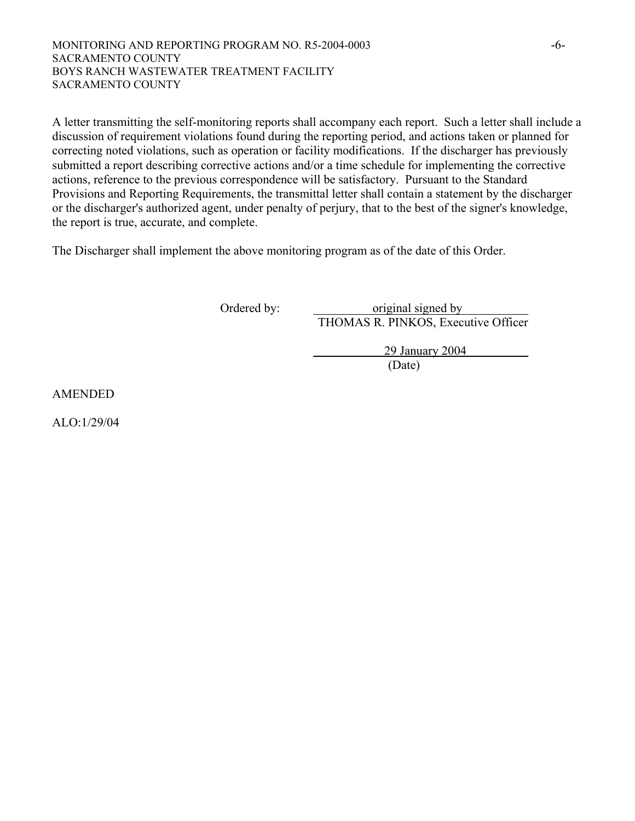MONITORING AND REPORTING PROGRAM NO. R5-2004-0003 -6- SACRAMENTO COUNTY BOYS RANCH WASTEWATER TREATMENT FACILITY SACRAMENTO COUNTY

A letter transmitting the self-monitoring reports shall accompany each report. Such a letter shall include a discussion of requirement violations found during the reporting period, and actions taken or planned for correcting noted violations, such as operation or facility modifications. If the discharger has previously submitted a report describing corrective actions and/or a time schedule for implementing the corrective actions, reference to the previous correspondence will be satisfactory. Pursuant to the Standard Provisions and Reporting Requirements, the transmittal letter shall contain a statement by the discharger or the discharger's authorized agent, under penalty of perjury, that to the best of the signer's knowledge, the report is true, accurate, and complete.

The Discharger shall implement the above monitoring program as of the date of this Order.

Ordered by: original signed by THOMAS R. PINKOS, Executive Officer

 29 January 2004 (Date)

AMENDED

ALO:1/29/04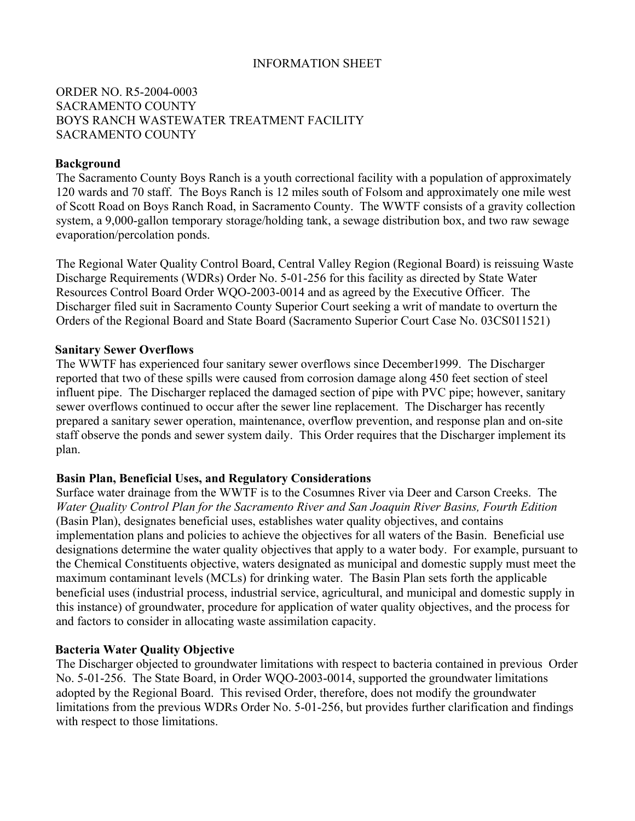# INFORMATION SHEET

# ORDER NO. R5-2004-0003 SACRAMENTO COUNTY BOYS RANCH WASTEWATER TREATMENT FACILITY SACRAMENTO COUNTY

#### **Background**

The Sacramento County Boys Ranch is a youth correctional facility with a population of approximately 120 wards and 70 staff. The Boys Ranch is 12 miles south of Folsom and approximately one mile west of Scott Road on Boys Ranch Road, in Sacramento County. The WWTF consists of a gravity collection system, a 9,000-gallon temporary storage/holding tank, a sewage distribution box, and two raw sewage evaporation/percolation ponds.

The Regional Water Quality Control Board, Central Valley Region (Regional Board) is reissuing Waste Discharge Requirements (WDRs) Order No. 5-01-256 for this facility as directed by State Water Resources Control Board Order WQO-2003-0014 and as agreed by the Executive Officer. The Discharger filed suit in Sacramento County Superior Court seeking a writ of mandate to overturn the Orders of the Regional Board and State Board (Sacramento Superior Court Case No. 03CS011521)

#### **Sanitary Sewer Overflows**

The WWTF has experienced four sanitary sewer overflows since December1999. The Discharger reported that two of these spills were caused from corrosion damage along 450 feet section of steel influent pipe. The Discharger replaced the damaged section of pipe with PVC pipe; however, sanitary sewer overflows continued to occur after the sewer line replacement. The Discharger has recently prepared a sanitary sewer operation, maintenance, overflow prevention, and response plan and on-site staff observe the ponds and sewer system daily. This Order requires that the Discharger implement its plan.

#### **Basin Plan, Beneficial Uses, and Regulatory Considerations**

Surface water drainage from the WWTF is to the Cosumnes River via Deer and Carson Creeks. The *Water Quality Control Plan for the Sacramento River and San Joaquin River Basins, Fourth Edition* (Basin Plan), designates beneficial uses, establishes water quality objectives, and contains implementation plans and policies to achieve the objectives for all waters of the Basin. Beneficial use designations determine the water quality objectives that apply to a water body. For example, pursuant to the Chemical Constituents objective, waters designated as municipal and domestic supply must meet the maximum contaminant levels (MCLs) for drinking water. The Basin Plan sets forth the applicable beneficial uses (industrial process, industrial service, agricultural, and municipal and domestic supply in this instance) of groundwater, procedure for application of water quality objectives, and the process for and factors to consider in allocating waste assimilation capacity.

#### **Bacteria Water Quality Objective**

The Discharger objected to groundwater limitations with respect to bacteria contained in previous Order No. 5-01-256. The State Board, in Order WQO-2003-0014, supported the groundwater limitations adopted by the Regional Board. This revised Order, therefore, does not modify the groundwater limitations from the previous WDRs Order No. 5-01-256, but provides further clarification and findings with respect to those limitations.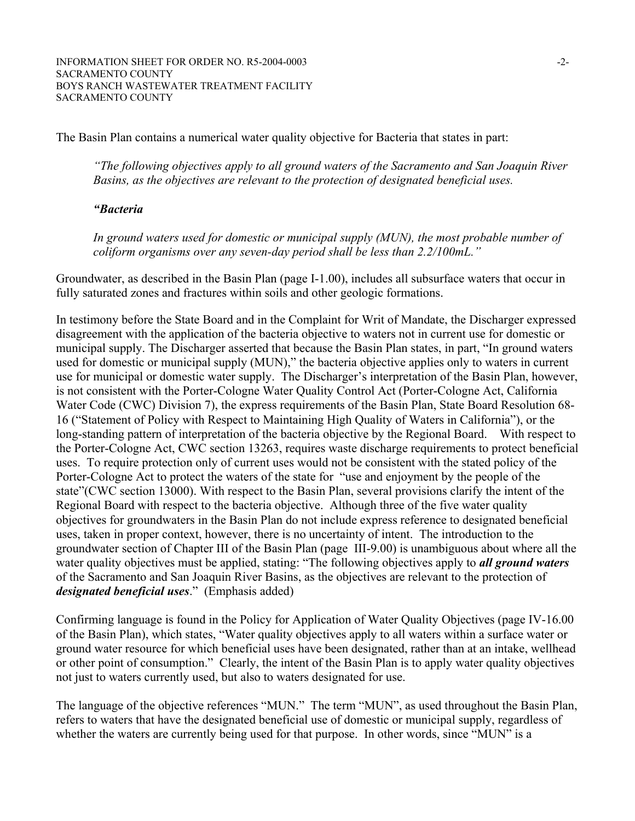The Basin Plan contains a numerical water quality objective for Bacteria that states in part:

*"The following objectives apply to all ground waters of the Sacramento and San Joaquin River Basins, as the objectives are relevant to the protection of designated beneficial uses.* 

#### *"Bacteria*

*In ground waters used for domestic or municipal supply (MUN), the most probable number of coliform organisms over any seven-day period shall be less than 2.2/100mL."* 

Groundwater, as described in the Basin Plan (page I-1.00), includes all subsurface waters that occur in fully saturated zones and fractures within soils and other geologic formations.

In testimony before the State Board and in the Complaint for Writ of Mandate, the Discharger expressed disagreement with the application of the bacteria objective to waters not in current use for domestic or municipal supply. The Discharger asserted that because the Basin Plan states, in part, "In ground waters used for domestic or municipal supply (MUN)," the bacteria objective applies only to waters in current use for municipal or domestic water supply. The Discharger's interpretation of the Basin Plan, however, is not consistent with the Porter-Cologne Water Quality Control Act (Porter-Cologne Act, California Water Code (CWC) Division 7), the express requirements of the Basin Plan, State Board Resolution 68- 16 ("Statement of Policy with Respect to Maintaining High Quality of Waters in California"), or the long-standing pattern of interpretation of the bacteria objective by the Regional Board. With respect to the Porter-Cologne Act, CWC section 13263, requires waste discharge requirements to protect beneficial uses. To require protection only of current uses would not be consistent with the stated policy of the Porter-Cologne Act to protect the waters of the state for "use and enjoyment by the people of the state"(CWC section 13000). With respect to the Basin Plan, several provisions clarify the intent of the Regional Board with respect to the bacteria objective. Although three of the five water quality objectives for groundwaters in the Basin Plan do not include express reference to designated beneficial uses, taken in proper context, however, there is no uncertainty of intent. The introduction to the groundwater section of Chapter III of the Basin Plan (page III-9.00) is unambiguous about where all the water quality objectives must be applied, stating: "The following objectives apply to *all ground waters* of the Sacramento and San Joaquin River Basins, as the objectives are relevant to the protection of *designated beneficial uses*." (Emphasis added)

Confirming language is found in the Policy for Application of Water Quality Objectives (page IV-16.00 of the Basin Plan), which states, "Water quality objectives apply to all waters within a surface water or ground water resource for which beneficial uses have been designated, rather than at an intake, wellhead or other point of consumption." Clearly, the intent of the Basin Plan is to apply water quality objectives not just to waters currently used, but also to waters designated for use.

The language of the objective references "MUN." The term "MUN", as used throughout the Basin Plan, refers to waters that have the designated beneficial use of domestic or municipal supply, regardless of whether the waters are currently being used for that purpose. In other words, since "MUN" is a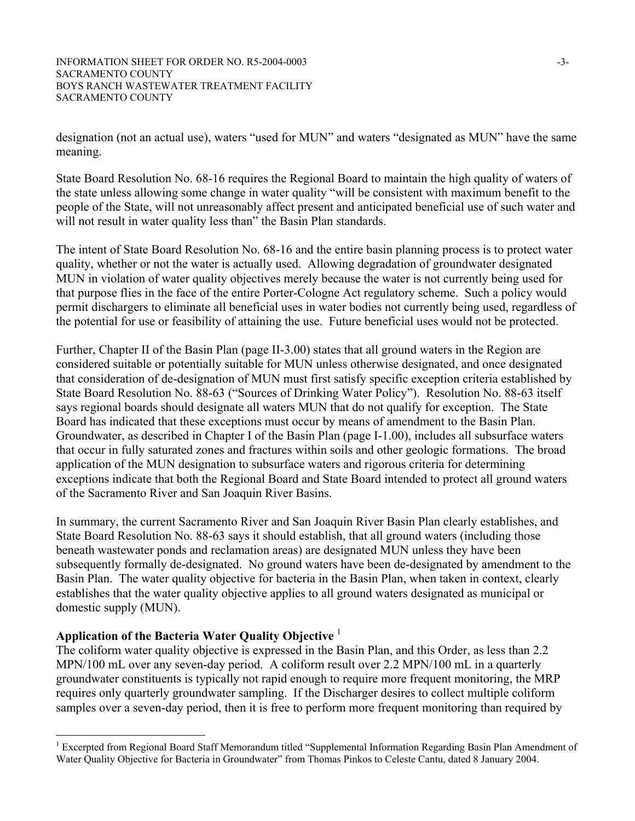designation (not an actual use), waters "used for MUN" and waters "designated as MUN" have the same meaning.

State Board Resolution No. 68-16 requires the Regional Board to maintain the high quality of waters of the state unless allowing some change in water quality "will be consistent with maximum benefit to the people of the State, will not unreasonably affect present and anticipated beneficial use of such water and will not result in water quality less than" the Basin Plan standards.

The intent of State Board Resolution No. 68-16 and the entire basin planning process is to protect water quality, whether or not the water is actually used. Allowing degradation of groundwater designated MUN in violation of water quality objectives merely because the water is not currently being used for that purpose flies in the face of the entire Porter-Cologne Act regulatory scheme. Such a policy would permit dischargers to eliminate all beneficial uses in water bodies not currently being used, regardless of the potential for use or feasibility of attaining the use. Future beneficial uses would not be protected.

Further, Chapter II of the Basin Plan (page II-3.00) states that all ground waters in the Region are considered suitable or potentially suitable for MUN unless otherwise designated, and once designated that consideration of de-designation of MUN must first satisfy specific exception criteria established by State Board Resolution No. 88-63 ("Sources of Drinking Water Policy"). Resolution No. 88-63 itself says regional boards should designate all waters MUN that do not qualify for exception. The State Board has indicated that these exceptions must occur by means of amendment to the Basin Plan. Groundwater, as described in Chapter I of the Basin Plan (page I-1.00), includes all subsurface waters that occur in fully saturated zones and fractures within soils and other geologic formations. The broad application of the MUN designation to subsurface waters and rigorous criteria for determining exceptions indicate that both the Regional Board and State Board intended to protect all ground waters of the Sacramento River and San Joaquin River Basins.

In summary, the current Sacramento River and San Joaquin River Basin Plan clearly establishes, and State Board Resolution No. 88-63 says it should establish, that all ground waters (including those beneath wastewater ponds and reclamation areas) are designated MUN unless they have been subsequently formally de-designated. No ground waters have been de-designated by amendment to the Basin Plan. The water quality objective for bacteria in the Basin Plan, when taken in context, clearly establishes that the water quality objective applies to all ground waters designated as municipal or domestic supply (MUN).

# **Application of the Bacteria Water Quality Objective** <sup>1</sup>

1

The coliform water quality objective is expressed in the Basin Plan, and this Order, as less than 2.2 MPN/100 mL over any seven-day period. A coliform result over 2.2 MPN/100 mL in a quarterly groundwater constituents is typically not rapid enough to require more frequent monitoring, the MRP requires only quarterly groundwater sampling. If the Discharger desires to collect multiple coliform samples over a seven-day period, then it is free to perform more frequent monitoring than required by

<sup>&</sup>lt;sup>1</sup> Excerpted from Regional Board Staff Memorandum titled "Supplemental Information Regarding Basin Plan Amendment of Water Quality Objective for Bacteria in Groundwater" from Thomas Pinkos to Celeste Cantu, dated 8 January 2004.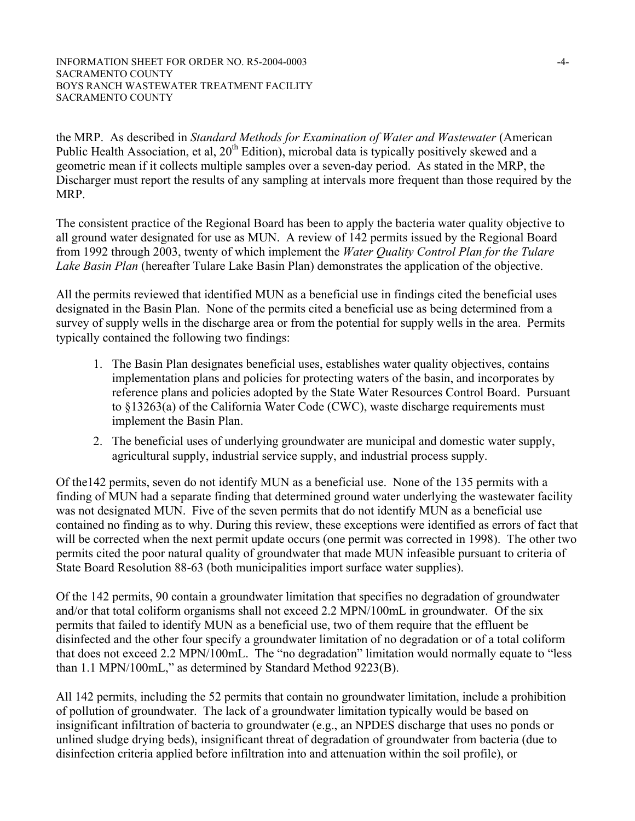the MRP. As described in *Standard Methods for Examination of Water and Wastewater* (American Public Health Association, et al,  $20^{th}$  Edition), microbal data is typically positively skewed and a geometric mean if it collects multiple samples over a seven-day period. As stated in the MRP, the Discharger must report the results of any sampling at intervals more frequent than those required by the MRP.

The consistent practice of the Regional Board has been to apply the bacteria water quality objective to all ground water designated for use as MUN. A review of 142 permits issued by the Regional Board from 1992 through 2003, twenty of which implement the *Water Quality Control Plan for the Tulare Lake Basin Plan* (hereafter Tulare Lake Basin Plan) demonstrates the application of the objective.

All the permits reviewed that identified MUN as a beneficial use in findings cited the beneficial uses designated in the Basin Plan. None of the permits cited a beneficial use as being determined from a survey of supply wells in the discharge area or from the potential for supply wells in the area. Permits typically contained the following two findings:

- 1. The Basin Plan designates beneficial uses, establishes water quality objectives, contains implementation plans and policies for protecting waters of the basin, and incorporates by reference plans and policies adopted by the State Water Resources Control Board. Pursuant to §13263(a) of the California Water Code (CWC), waste discharge requirements must implement the Basin Plan.
- 2. The beneficial uses of underlying groundwater are municipal and domestic water supply, agricultural supply, industrial service supply, and industrial process supply.

Of the142 permits, seven do not identify MUN as a beneficial use. None of the 135 permits with a finding of MUN had a separate finding that determined ground water underlying the wastewater facility was not designated MUN. Five of the seven permits that do not identify MUN as a beneficial use contained no finding as to why. During this review, these exceptions were identified as errors of fact that will be corrected when the next permit update occurs (one permit was corrected in 1998). The other two permits cited the poor natural quality of groundwater that made MUN infeasible pursuant to criteria of State Board Resolution 88-63 (both municipalities import surface water supplies).

Of the 142 permits, 90 contain a groundwater limitation that specifies no degradation of groundwater and/or that total coliform organisms shall not exceed 2.2 MPN/100mL in groundwater. Of the six permits that failed to identify MUN as a beneficial use, two of them require that the effluent be disinfected and the other four specify a groundwater limitation of no degradation or of a total coliform that does not exceed 2.2 MPN/100mL. The "no degradation" limitation would normally equate to "less than 1.1 MPN/100mL," as determined by Standard Method 9223(B).

All 142 permits, including the 52 permits that contain no groundwater limitation, include a prohibition of pollution of groundwater. The lack of a groundwater limitation typically would be based on insignificant infiltration of bacteria to groundwater (e.g., an NPDES discharge that uses no ponds or unlined sludge drying beds), insignificant threat of degradation of groundwater from bacteria (due to disinfection criteria applied before infiltration into and attenuation within the soil profile), or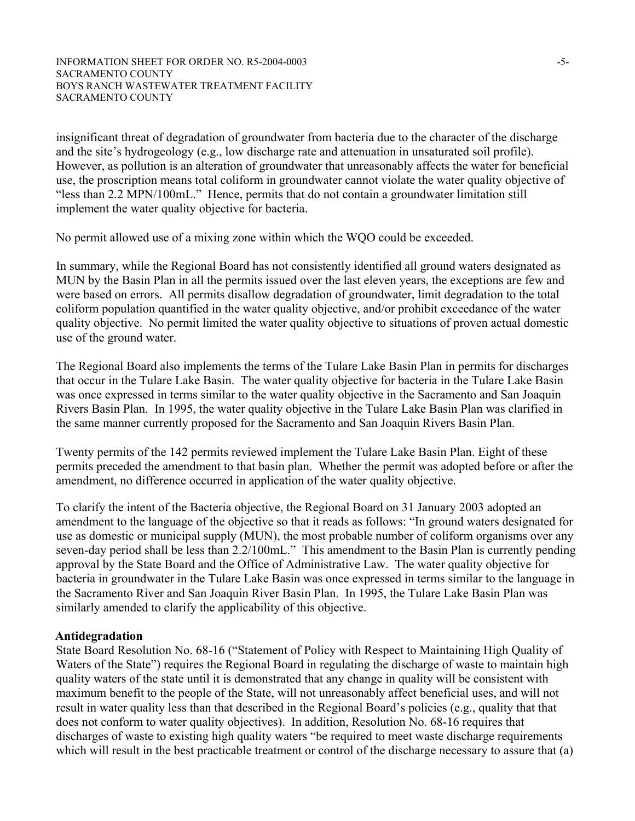#### INFORMATION SHEET FOR ORDER NO. R5-2004-0003 -5-SACRAMENTO COUNTY BOYS RANCH WASTEWATER TREATMENT FACILITY SACRAMENTO COUNTY

insignificant threat of degradation of groundwater from bacteria due to the character of the discharge and the site's hydrogeology (e.g., low discharge rate and attenuation in unsaturated soil profile). However, as pollution is an alteration of groundwater that unreasonably affects the water for beneficial use, the proscription means total coliform in groundwater cannot violate the water quality objective of "less than 2.2 MPN/100mL." Hence, permits that do not contain a groundwater limitation still implement the water quality objective for bacteria.

No permit allowed use of a mixing zone within which the WQO could be exceeded.

In summary, while the Regional Board has not consistently identified all ground waters designated as MUN by the Basin Plan in all the permits issued over the last eleven years, the exceptions are few and were based on errors. All permits disallow degradation of groundwater, limit degradation to the total coliform population quantified in the water quality objective, and/or prohibit exceedance of the water quality objective. No permit limited the water quality objective to situations of proven actual domestic use of the ground water.

The Regional Board also implements the terms of the Tulare Lake Basin Plan in permits for discharges that occur in the Tulare Lake Basin. The water quality objective for bacteria in the Tulare Lake Basin was once expressed in terms similar to the water quality objective in the Sacramento and San Joaquin Rivers Basin Plan. In 1995, the water quality objective in the Tulare Lake Basin Plan was clarified in the same manner currently proposed for the Sacramento and San Joaquin Rivers Basin Plan.

Twenty permits of the 142 permits reviewed implement the Tulare Lake Basin Plan. Eight of these permits preceded the amendment to that basin plan. Whether the permit was adopted before or after the amendment, no difference occurred in application of the water quality objective.

To clarify the intent of the Bacteria objective, the Regional Board on 31 January 2003 adopted an amendment to the language of the objective so that it reads as follows: "In ground waters designated for use as domestic or municipal supply (MUN), the most probable number of coliform organisms over any seven-day period shall be less than 2.2/100mL." This amendment to the Basin Plan is currently pending approval by the State Board and the Office of Administrative Law. The water quality objective for bacteria in groundwater in the Tulare Lake Basin was once expressed in terms similar to the language in the Sacramento River and San Joaquin River Basin Plan. In 1995, the Tulare Lake Basin Plan was similarly amended to clarify the applicability of this objective.

## **Antidegradation**

State Board Resolution No. 68-16 ("Statement of Policy with Respect to Maintaining High Quality of Waters of the State") requires the Regional Board in regulating the discharge of waste to maintain high quality waters of the state until it is demonstrated that any change in quality will be consistent with maximum benefit to the people of the State, will not unreasonably affect beneficial uses, and will not result in water quality less than that described in the Regional Board's policies (e.g., quality that that does not conform to water quality objectives). In addition, Resolution No. 68-16 requires that discharges of waste to existing high quality waters "be required to meet waste discharge requirements which will result in the best practicable treatment or control of the discharge necessary to assure that (a)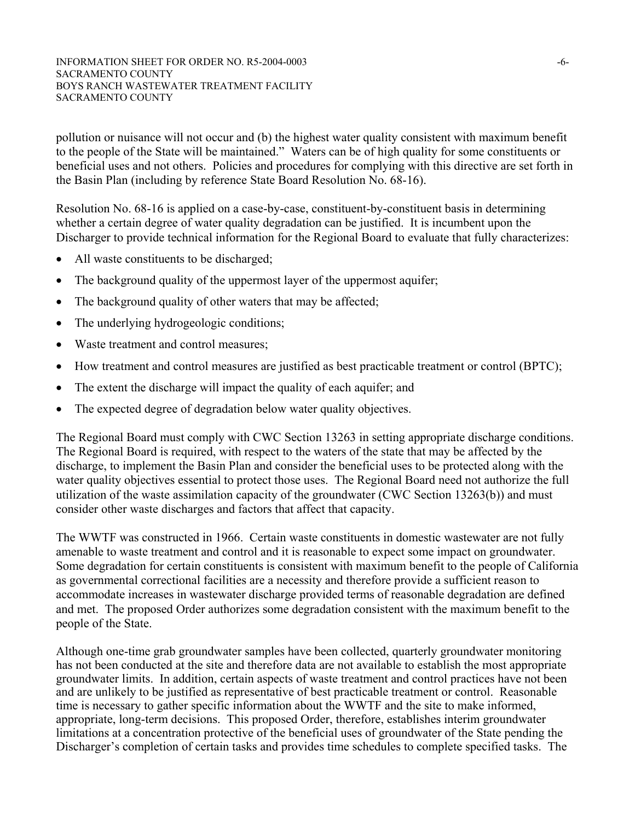pollution or nuisance will not occur and (b) the highest water quality consistent with maximum benefit to the people of the State will be maintained." Waters can be of high quality for some constituents or beneficial uses and not others. Policies and procedures for complying with this directive are set forth in the Basin Plan (including by reference State Board Resolution No. 68-16).

Resolution No. 68-16 is applied on a case-by-case, constituent-by-constituent basis in determining whether a certain degree of water quality degradation can be justified. It is incumbent upon the Discharger to provide technical information for the Regional Board to evaluate that fully characterizes:

- All waste constituents to be discharged;
- The background quality of the uppermost layer of the uppermost aquifer;
- The background quality of other waters that may be affected;
- The underlying hydrogeologic conditions;
- Waste treatment and control measures;
- How treatment and control measures are justified as best practicable treatment or control (BPTC);
- The extent the discharge will impact the quality of each aquifer; and
- The expected degree of degradation below water quality objectives.

The Regional Board must comply with CWC Section 13263 in setting appropriate discharge conditions. The Regional Board is required, with respect to the waters of the state that may be affected by the discharge, to implement the Basin Plan and consider the beneficial uses to be protected along with the water quality objectives essential to protect those uses. The Regional Board need not authorize the full utilization of the waste assimilation capacity of the groundwater (CWC Section 13263(b)) and must consider other waste discharges and factors that affect that capacity.

The WWTF was constructed in 1966. Certain waste constituents in domestic wastewater are not fully amenable to waste treatment and control and it is reasonable to expect some impact on groundwater. Some degradation for certain constituents is consistent with maximum benefit to the people of California as governmental correctional facilities are a necessity and therefore provide a sufficient reason to accommodate increases in wastewater discharge provided terms of reasonable degradation are defined and met. The proposed Order authorizes some degradation consistent with the maximum benefit to the people of the State.

Although one-time grab groundwater samples have been collected, quarterly groundwater monitoring has not been conducted at the site and therefore data are not available to establish the most appropriate groundwater limits. In addition, certain aspects of waste treatment and control practices have not been and are unlikely to be justified as representative of best practicable treatment or control. Reasonable time is necessary to gather specific information about the WWTF and the site to make informed, appropriate, long-term decisions. This proposed Order, therefore, establishes interim groundwater limitations at a concentration protective of the beneficial uses of groundwater of the State pending the Discharger's completion of certain tasks and provides time schedules to complete specified tasks. The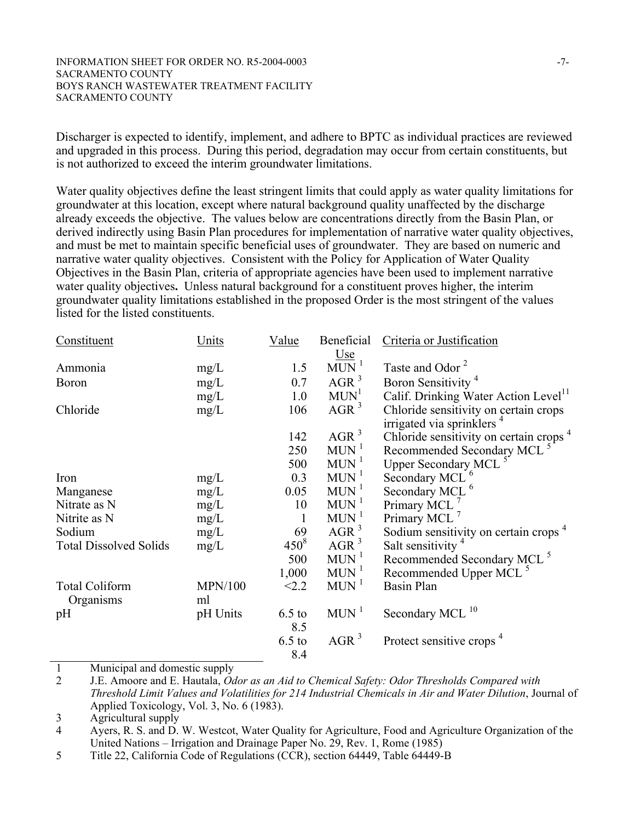#### INFORMATION SHEET FOR ORDER NO. R5-2004-0003 -7-SACRAMENTO COUNTY BOYS RANCH WASTEWATER TREATMENT FACILITY SACRAMENTO COUNTY

Discharger is expected to identify, implement, and adhere to BPTC as individual practices are reviewed and upgraded in this process. During this period, degradation may occur from certain constituents, but is not authorized to exceed the interim groundwater limitations.

Water quality objectives define the least stringent limits that could apply as water quality limitations for groundwater at this location, except where natural background quality unaffected by the discharge already exceeds the objective. The values below are concentrations directly from the Basin Plan, or derived indirectly using Basin Plan procedures for implementation of narrative water quality objectives, and must be met to maintain specific beneficial uses of groundwater. They are based on numeric and narrative water quality objectives. Consistent with the Policy for Application of Water Quality Objectives in the Basin Plan, criteria of appropriate agencies have been used to implement narrative water quality objectives**.** Unless natural background for a constituent proves higher, the interim groundwater quality limitations established in the proposed Order is the most stringent of the values listed for the listed constituents.

| Constituent                   | Units          | Value     | Beneficial                     | Criteria or Justification                          |
|-------------------------------|----------------|-----------|--------------------------------|----------------------------------------------------|
|                               |                |           |                                |                                                    |
| Ammonia                       | mg/L           | 1.5       | $\frac{Use}{MUN}$ <sup>1</sup> | Taste and Odor <sup>2</sup>                        |
| <b>Boron</b>                  | mg/L           | 0.7       | AGR <sup>3</sup>               | Boron Sensitivity <sup>4</sup>                     |
|                               | mg/L           | 1.0       | MUN <sup>1</sup>               | Calif. Drinking Water Action Level <sup>11</sup>   |
| Chloride                      | mg/L           | 106       | AGR <sup>3</sup>               | Chloride sensitivity on certain crops              |
|                               |                |           |                                | irrigated via sprinklers <sup>4</sup>              |
|                               |                | 142       | AGR <sup>3</sup>               | Chloride sensitivity on certain crops <sup>4</sup> |
|                               |                | 250       | $MUN$ <sup>1</sup>             | Recommended Secondary MCL <sup>5</sup>             |
|                               |                | 500       | $MUN$ <sup>1</sup>             | Upper Secondary MCL <sup>5</sup>                   |
| Iron                          | mg/L           | 0.3       | $MUN$ <sup>1</sup>             | Secondary MCL <sup>6</sup>                         |
| Manganese                     | mg/L           | 0.05      | $MUN$ <sup>1</sup>             | Secondary MCL <sup>6</sup>                         |
| Nitrate as N                  | mg/L           | 10        | $MUN$ <sup>1</sup>             | Primary MCL <sup>7</sup>                           |
| Nitrite as N                  | mg/L           | 1         | $MUN$ <sup>1</sup>             | Primary MCL <sup>7</sup>                           |
| Sodium                        | mg/L           | 69        | AGR <sup>3</sup>               | Sodium sensitivity on certain crops <sup>4</sup>   |
| <b>Total Dissolved Solids</b> | mg/L           | $450^{8}$ | AGR <sup>3</sup>               | Salt sensitivity <sup>4</sup>                      |
|                               |                | 500       | $MUN$ <sup>1</sup>             | Recommended Secondary MCL <sup>5</sup>             |
|                               |                | 1,000     | $MUN$ <sup>1</sup>             | Recommended Upper MCL <sup>5</sup>                 |
| <b>Total Coliform</b>         | <b>MPN/100</b> | < 2.2     | $MUN$ <sup>1</sup>             | <b>Basin Plan</b>                                  |
| Organisms                     | ml             |           |                                |                                                    |
| pH                            | pH Units       | $6.5$ to  | $MUN$ <sup>1</sup>             | Secondary MCL <sup>10</sup>                        |
|                               |                | 8.5       |                                |                                                    |
|                               |                | $6.5$ to  | AGR <sup>3</sup>               | Protect sensitive crops <sup>4</sup>               |
|                               |                | 8.4       |                                |                                                    |

1 Municipal and domestic supply<br>2 J.E. Amoore and E. Hautala.  $O\alpha$ 

4 Ayers, R. S. and D. W. Westcot, Water Quality for Agriculture, Food and Agriculture Organization of the United Nations – Irrigation and Drainage Paper No. 29, Rev. 1, Rome (1985)

<sup>2</sup> J.E. Amoore and E. Hautala, *Odor as an Aid to Chemical Safety: Odor Thresholds Compared with Threshold Limit Values and Volatilities for 214 Industrial Chemicals in Air and Water Dilution*, Journal of Applied Toxicology, Vol. 3, No. 6 (1983).

<sup>3</sup> Agricultural supply

<sup>5</sup> Title 22, California Code of Regulations (CCR), section 64449, Table 64449-B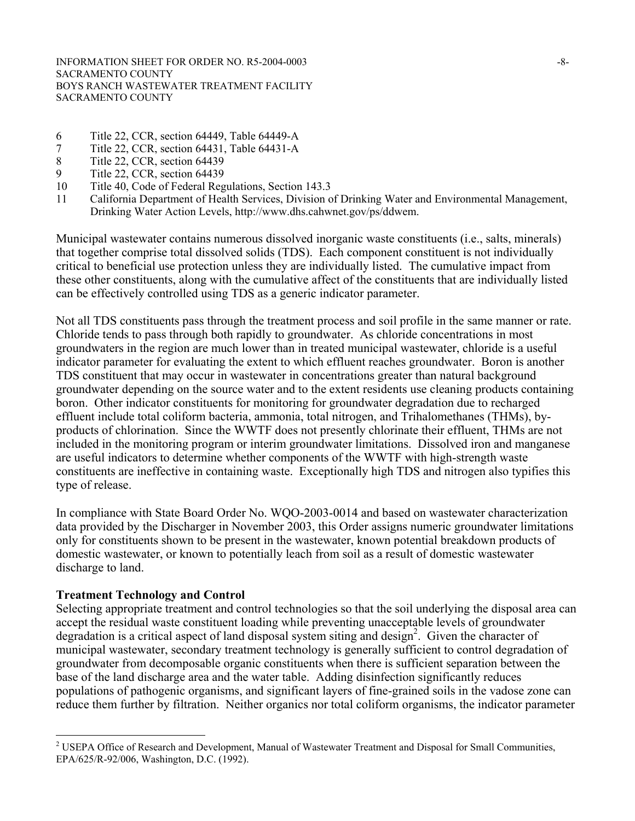- 6 Title 22, CCR, section 64449, Table 64449-A
- 7 Title 22, CCR, section 64431, Table 64431-A<br>8 Title 22, CCR, section 64439
- Title 22, CCR, section 64439
- 9 Title 22, CCR, section 64439
- 10 Title 40, Code of Federal Regulations, Section 143.3
- 11 California Department of Health Services, Division of Drinking Water and Environmental Management, Drinking Water Action Levels, http://www.dhs.cahwnet.gov/ps/ddwem.

Municipal wastewater contains numerous dissolved inorganic waste constituents (i.e., salts, minerals) that together comprise total dissolved solids (TDS). Each component constituent is not individually critical to beneficial use protection unless they are individually listed. The cumulative impact from these other constituents, along with the cumulative affect of the constituents that are individually listed can be effectively controlled using TDS as a generic indicator parameter.

Not all TDS constituents pass through the treatment process and soil profile in the same manner or rate. Chloride tends to pass through both rapidly to groundwater. As chloride concentrations in most groundwaters in the region are much lower than in treated municipal wastewater, chloride is a useful indicator parameter for evaluating the extent to which effluent reaches groundwater. Boron is another TDS constituent that may occur in wastewater in concentrations greater than natural background groundwater depending on the source water and to the extent residents use cleaning products containing boron. Other indicator constituents for monitoring for groundwater degradation due to recharged effluent include total coliform bacteria, ammonia, total nitrogen, and Trihalomethanes (THMs), byproducts of chlorination. Since the WWTF does not presently chlorinate their effluent, THMs are not included in the monitoring program or interim groundwater limitations. Dissolved iron and manganese are useful indicators to determine whether components of the WWTF with high-strength waste constituents are ineffective in containing waste. Exceptionally high TDS and nitrogen also typifies this type of release.

In compliance with State Board Order No. WQO-2003-0014 and based on wastewater characterization data provided by the Discharger in November 2003, this Order assigns numeric groundwater limitations only for constituents shown to be present in the wastewater, known potential breakdown products of domestic wastewater, or known to potentially leach from soil as a result of domestic wastewater discharge to land.

## **Treatment Technology and Control**

1

Selecting appropriate treatment and control technologies so that the soil underlying the disposal area can accept the residual waste constituent loading while preventing unacceptable levels of groundwater degradation is a critical aspect of land disposal system siting and design<sup>2</sup>. Given the character of municipal wastewater, secondary treatment technology is generally sufficient to control degradation of groundwater from decomposable organic constituents when there is sufficient separation between the base of the land discharge area and the water table. Adding disinfection significantly reduces populations of pathogenic organisms, and significant layers of fine-grained soils in the vadose zone can reduce them further by filtration. Neither organics nor total coliform organisms, the indicator parameter

<sup>&</sup>lt;sup>2</sup> USEPA Office of Research and Development, Manual of Wastewater Treatment and Disposal for Small Communities, EPA/625/R-92/006, Washington, D.C. (1992).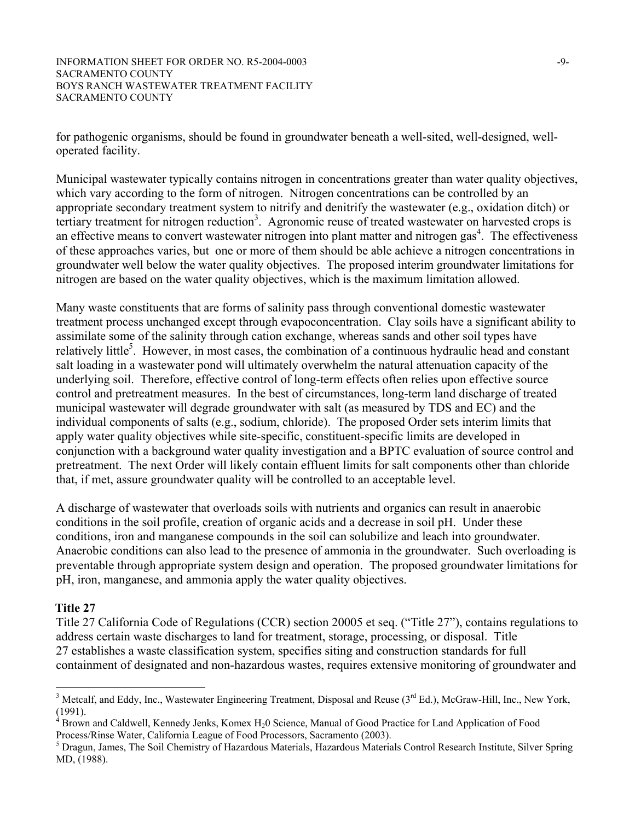INFORMATION SHEET FOR ORDER NO. R5-2004-0003 -9-SACRAMENTO COUNTY BOYS RANCH WASTEWATER TREATMENT FACILITY SACRAMENTO COUNTY

for pathogenic organisms, should be found in groundwater beneath a well-sited, well-designed, welloperated facility.

Municipal wastewater typically contains nitrogen in concentrations greater than water quality objectives, which vary according to the form of nitrogen. Nitrogen concentrations can be controlled by an appropriate secondary treatment system to nitrify and denitrify the wastewater (e.g., oxidation ditch) or tertiary treatment for nitrogen reduction<sup>3</sup>. Agronomic reuse of treated wastewater on harvested crops is an effective means to convert wastewater nitrogen into plant matter and nitrogen gas $4$ . The effectiveness of these approaches varies, but one or more of them should be able achieve a nitrogen concentrations in groundwater well below the water quality objectives. The proposed interim groundwater limitations for nitrogen are based on the water quality objectives, which is the maximum limitation allowed.

Many waste constituents that are forms of salinity pass through conventional domestic wastewater treatment process unchanged except through evapoconcentration. Clay soils have a significant ability to assimilate some of the salinity through cation exchange, whereas sands and other soil types have relatively little<sup>5</sup>. However, in most cases, the combination of a continuous hydraulic head and constant salt loading in a wastewater pond will ultimately overwhelm the natural attenuation capacity of the underlying soil. Therefore, effective control of long-term effects often relies upon effective source control and pretreatment measures. In the best of circumstances, long-term land discharge of treated municipal wastewater will degrade groundwater with salt (as measured by TDS and EC) and the individual components of salts (e.g., sodium, chloride). The proposed Order sets interim limits that apply water quality objectives while site-specific, constituent-specific limits are developed in conjunction with a background water quality investigation and a BPTC evaluation of source control and pretreatment. The next Order will likely contain effluent limits for salt components other than chloride that, if met, assure groundwater quality will be controlled to an acceptable level.

A discharge of wastewater that overloads soils with nutrients and organics can result in anaerobic conditions in the soil profile, creation of organic acids and a decrease in soil pH. Under these conditions, iron and manganese compounds in the soil can solubilize and leach into groundwater. Anaerobic conditions can also lead to the presence of ammonia in the groundwater. Such overloading is preventable through appropriate system design and operation. The proposed groundwater limitations for pH, iron, manganese, and ammonia apply the water quality objectives.

#### **Title 27**

 $\overline{a}$ 

Title 27 California Code of Regulations (CCR) section 20005 et seq. ("Title 27"), contains regulations to address certain waste discharges to land for treatment, storage, processing, or disposal. Title 27 establishes a waste classification system, specifies siting and construction standards for full containment of designated and non-hazardous wastes, requires extensive monitoring of groundwater and

<sup>&</sup>lt;sup>3</sup> Metcalf, and Eddy, Inc., Wastewater Engineering Treatment, Disposal and Reuse  $(3<sup>rd</sup> Ed.)$ , McGraw-Hill, Inc., New York,  $(1991)$ .

Brown and Caldwell, Kennedy Jenks, Komex H20 Science, Manual of Good Practice for Land Application of Food Process/Rinse Water, California League of Food Processors, Sacramento (2003).

<sup>&</sup>lt;sup>5</sup> Dragun, James, The Soil Chemistry of Hazardous Materials, Hazardous Materials Control Research Institute, Silver Spring MD, (1988).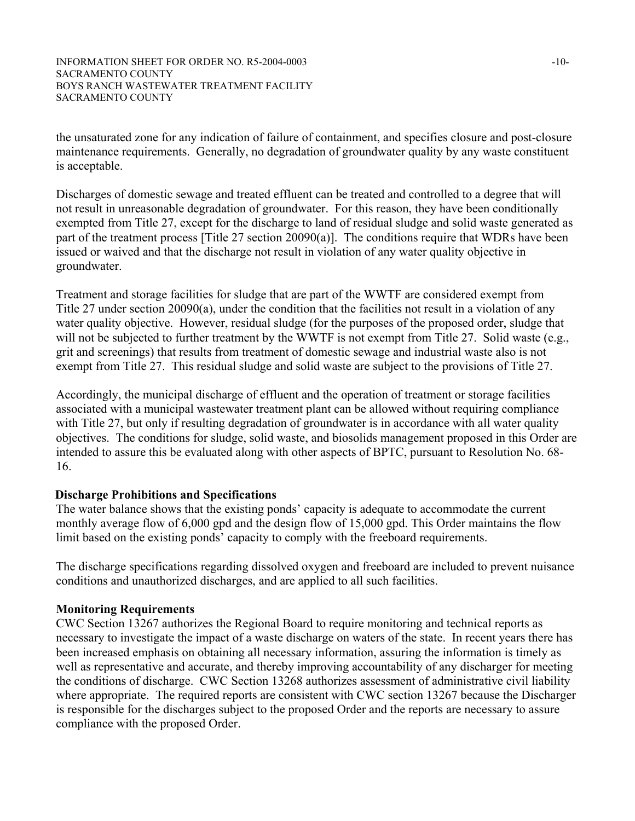the unsaturated zone for any indication of failure of containment, and specifies closure and post-closure maintenance requirements. Generally, no degradation of groundwater quality by any waste constituent is acceptable.

Discharges of domestic sewage and treated effluent can be treated and controlled to a degree that will not result in unreasonable degradation of groundwater. For this reason, they have been conditionally exempted from Title 27, except for the discharge to land of residual sludge and solid waste generated as part of the treatment process [Title 27 section 20090(a)]. The conditions require that WDRs have been issued or waived and that the discharge not result in violation of any water quality objective in groundwater.

Treatment and storage facilities for sludge that are part of the WWTF are considered exempt from Title 27 under section 20090(a), under the condition that the facilities not result in a violation of any water quality objective. However, residual sludge (for the purposes of the proposed order, sludge that will not be subjected to further treatment by the WWTF is not exempt from Title 27. Solid waste (e.g., grit and screenings) that results from treatment of domestic sewage and industrial waste also is not exempt from Title 27. This residual sludge and solid waste are subject to the provisions of Title 27.

Accordingly, the municipal discharge of effluent and the operation of treatment or storage facilities associated with a municipal wastewater treatment plant can be allowed without requiring compliance with Title 27, but only if resulting degradation of groundwater is in accordance with all water quality objectives. The conditions for sludge, solid waste, and biosolids management proposed in this Order are intended to assure this be evaluated along with other aspects of BPTC, pursuant to Resolution No. 68- 16.

# **Discharge Prohibitions and Specifications**

The water balance shows that the existing ponds' capacity is adequate to accommodate the current monthly average flow of 6,000 gpd and the design flow of 15,000 gpd. This Order maintains the flow limit based on the existing ponds' capacity to comply with the freeboard requirements.

The discharge specifications regarding dissolved oxygen and freeboard are included to prevent nuisance conditions and unauthorized discharges, and are applied to all such facilities.

# **Monitoring Requirements**

CWC Section 13267 authorizes the Regional Board to require monitoring and technical reports as necessary to investigate the impact of a waste discharge on waters of the state. In recent years there has been increased emphasis on obtaining all necessary information, assuring the information is timely as well as representative and accurate, and thereby improving accountability of any discharger for meeting the conditions of discharge. CWC Section 13268 authorizes assessment of administrative civil liability where appropriate. The required reports are consistent with CWC section 13267 because the Discharger is responsible for the discharges subject to the proposed Order and the reports are necessary to assure compliance with the proposed Order.